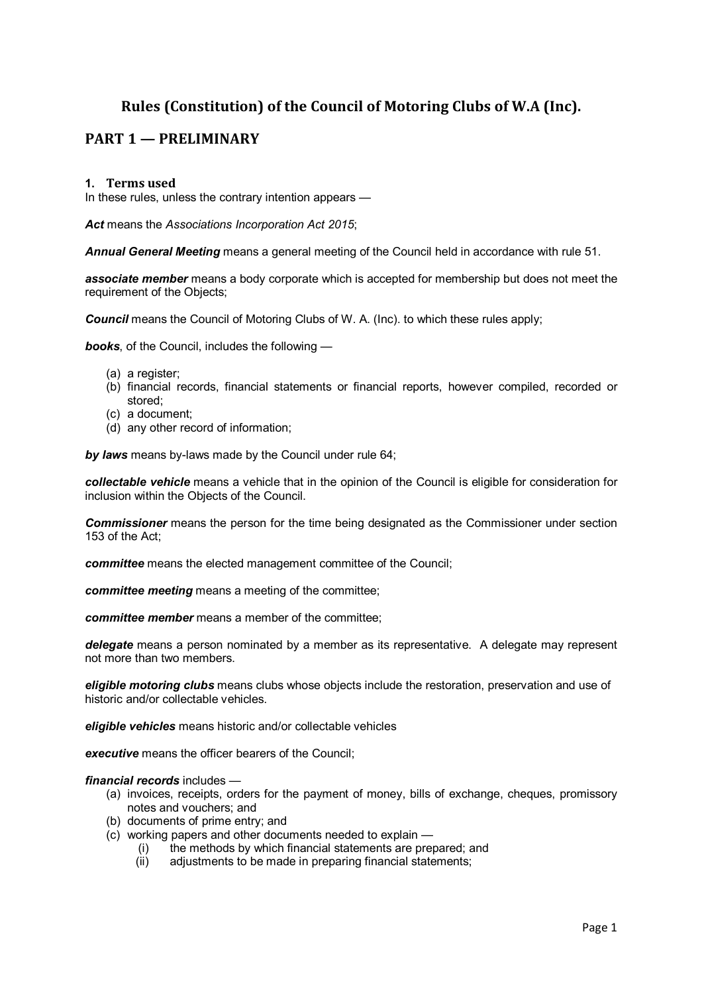# **Rules (Constitution) of the Council of Motoring Clubs of W.A (Inc).**

# **PART 1 — PRELIMINARY**

#### **1. Terms used**

In these rules, unless the contrary intention appears —

*Act* means the *Associations Incorporation Act 2015*;

*Annual General Meeting* means a general meeting of the Council held in accordance with rule 51.

*associate member* means a body corporate which is accepted for membership but does not meet the requirement of the Objects;

*Council* means the Council of Motoring Clubs of W. A. (Inc). to which these rules apply;

*books*, of the Council, includes the following —

- (a) a register;
- (b) financial records, financial statements or financial reports, however compiled, recorded or stored;
- (c) a document;
- (d) any other record of information;

*by laws* means by-laws made by the Council under rule 64;

*collectable vehicle* means a vehicle that in the opinion of the Council is eligible for consideration for inclusion within the Objects of the Council.

*Commissioner* means the person for the time being designated as the Commissioner under section 153 of the Act;

*committee* means the elected management committee of the Council;

*committee meeting* means a meeting of the committee;

*committee member* means a member of the committee;

*delegate* means a person nominated by a member as its representative. A delegate may represent not more than two members.

*eligible motoring clubs* means clubs whose objects include the restoration, preservation and use of historic and/or collectable vehicles.

*eligible vehicles* means historic and/or collectable vehicles

*executive* means the officer bearers of the Council;

*financial records* includes —

- (a) invoices, receipts, orders for the payment of money, bills of exchange, cheques, promissory notes and vouchers; and
- (b) documents of prime entry; and
- (c) working papers and other documents needed to explain
	- (i) the methods by which financial statements are prepared; and
	- (ii) adjustments to be made in preparing financial statements;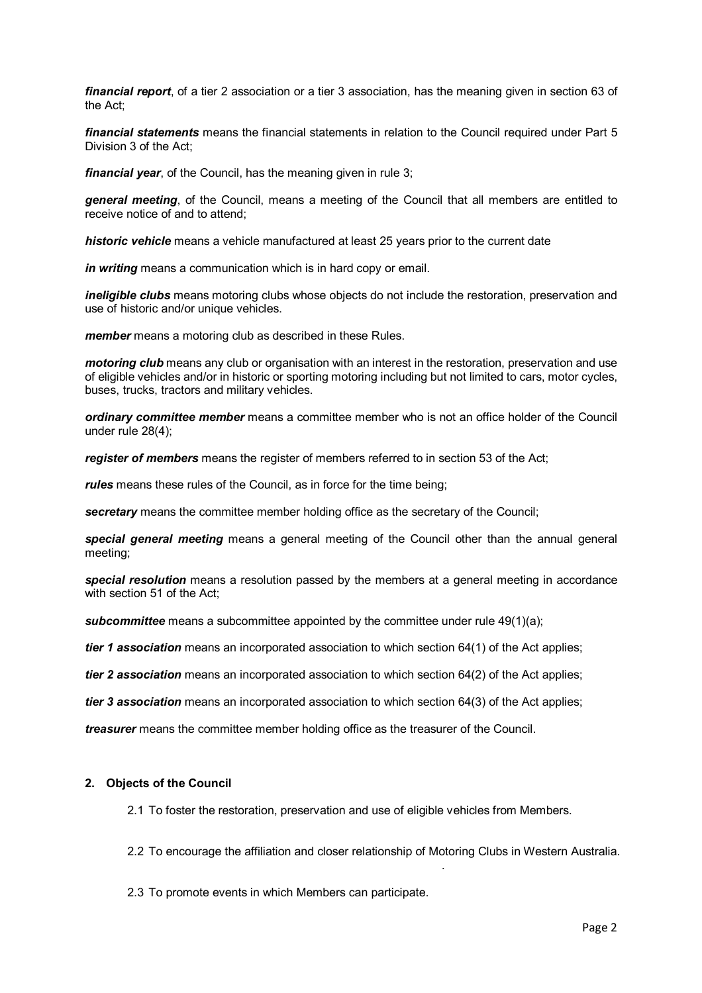*financial report*, of a tier 2 association or a tier 3 association, has the meaning given in section 63 of the Act;

*financial statements* means the financial statements in relation to the Council required under Part 5 Division 3 of the Act;

*financial year*, of the Council, has the meaning given in rule 3;

*general meeting*, of the Council, means a meeting of the Council that all members are entitled to receive notice of and to attend;

*historic vehicle* means a vehicle manufactured at least 25 years prior to the current date

*in writing* means a communication which is in hard copy or email.

*ineligible clubs* means motoring clubs whose objects do not include the restoration, preservation and use of historic and/or unique vehicles.

*member* means a motoring club as described in these Rules.

*motoring club* means any club or organisation with an interest in the restoration, preservation and use of eligible vehicles and/or in historic or sporting motoring including but not limited to cars, motor cycles, buses, trucks, tractors and military vehicles.

*ordinary committee member* means a committee member who is not an office holder of the Council under rule 28(4);

*register of members* means the register of members referred to in section 53 of the Act;

*rules* means these rules of the Council, as in force for the time being;

**secretary** means the committee member holding office as the secretary of the Council;

*special general meeting* means a general meeting of the Council other than the annual general meeting;

*special resolution* means a resolution passed by the members at a general meeting in accordance with section 51 of the Act;

**subcommittee** means a subcommittee appointed by the committee under rule 49(1)(a);

*tier 1 association* means an incorporated association to which section 64(1) of the Act applies;

*tier 2 association* means an incorporated association to which section 64(2) of the Act applies;

*tier 3 association* means an incorporated association to which section 64(3) of the Act applies;

*treasurer* means the committee member holding office as the treasurer of the Council.

#### **2. Objects of the Council**

2.1 To foster the restoration, preservation and use of eligible vehicles from Members.

2.2 To encourage the affiliation and closer relationship of Motoring Clubs in Western Australia.

.

2.3 To promote events in which Members can participate.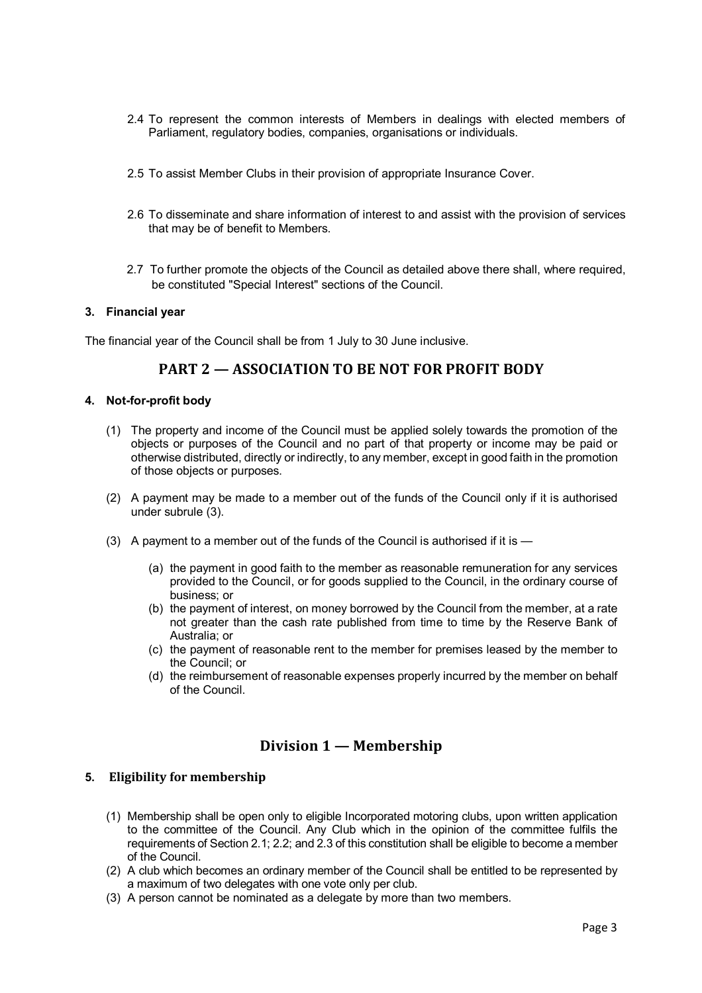- 2.4 To represent the common interests of Members in dealings with elected members of Parliament, regulatory bodies, companies, organisations or individuals.
- 2.5 To assist Member Clubs in their provision of appropriate Insurance Cover.
- 2.6 To disseminate and share information of interest to and assist with the provision of services that may be of benefit to Members.
- 2.7 To further promote the objects of the Council as detailed above there shall, where required, be constituted "Special Interest" sections of the Council.

#### **3. Financial year**

The financial year of the Council shall be from 1 July to 30 June inclusive.

## **PART 2 — ASSOCIATION TO BE NOT FOR PROFIT BODY**

#### **4. Not-for-profit body**

- (1) The property and income of the Council must be applied solely towards the promotion of the objects or purposes of the Council and no part of that property or income may be paid or otherwise distributed, directly or indirectly, to any member, except in good faith in the promotion of those objects or purposes.
- (2) A payment may be made to a member out of the funds of the Council only if it is authorised under subrule (3).
- (3) A payment to a member out of the funds of the Council is authorised if it is
	- (a) the payment in good faith to the member as reasonable remuneration for any services provided to the Council, or for goods supplied to the Council, in the ordinary course of business; or
	- (b) the payment of interest, on money borrowed by the Council from the member, at a rate not greater than the cash rate published from time to time by the Reserve Bank of Australia; or
	- (c) the payment of reasonable rent to the member for premises leased by the member to the Council; or
	- (d) the reimbursement of reasonable expenses properly incurred by the member on behalf of the Council.

## **Division 1 — Membership**

## **5. Eligibility for membership**

- (1) Membership shall be open only to eligible Incorporated motoring clubs, upon written application to the committee of the Council. Any Club which in the opinion of the committee fulfils the requirements of Section 2.1; 2.2; and 2.3 of this constitution shall be eligible to become a member of the Council.
- (2) A club which becomes an ordinary member of the Council shall be entitled to be represented by a maximum of two delegates with one vote only per club.
- (3) A person cannot be nominated as a delegate by more than two members.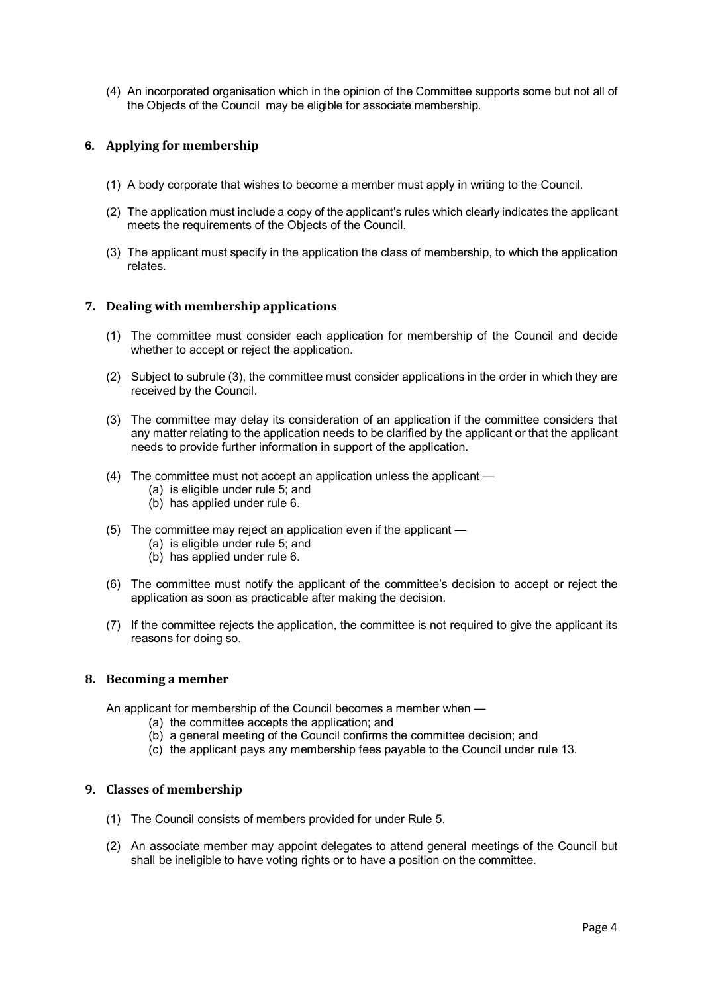(4) An incorporated organisation which in the opinion of the Committee supports some but not all of the Objects of the Council may be eligible for associate membership.

## **6. Applying for membership**

- (1) A body corporate that wishes to become a member must apply in writing to the Council.
- (2) The application must include a copy of the applicant's rules which clearly indicates the applicant meets the requirements of the Objects of the Council.
- (3) The applicant must specify in the application the class of membership, to which the application relates.

#### **7. Dealing with membership applications**

- (1) The committee must consider each application for membership of the Council and decide whether to accept or reject the application.
- (2) Subject to subrule (3), the committee must consider applications in the order in which they are received by the Council.
- (3) The committee may delay its consideration of an application if the committee considers that any matter relating to the application needs to be clarified by the applicant or that the applicant needs to provide further information in support of the application.
- (4) The committee must not accept an application unless the applicant
	- (a) is eligible under rule 5; and
	- (b) has applied under rule 6.
- (5) The committee may reject an application even if the applicant
	- (a) is eligible under rule 5; and
	- (b) has applied under rule 6.
- (6) The committee must notify the applicant of the committee's decision to accept or reject the application as soon as practicable after making the decision.
- (7) If the committee rejects the application, the committee is not required to give the applicant its reasons for doing so.

## **8. Becoming a member**

An applicant for membership of the Council becomes a member when —

- (a) the committee accepts the application; and
- (b) a general meeting of the Council confirms the committee decision; and
- (c) the applicant pays any membership fees payable to the Council under rule 13.

#### **9. Classes of membership**

- (1) The Council consists of members provided for under Rule 5.
- (2) An associate member may appoint delegates to attend general meetings of the Council but shall be ineligible to have voting rights or to have a position on the committee.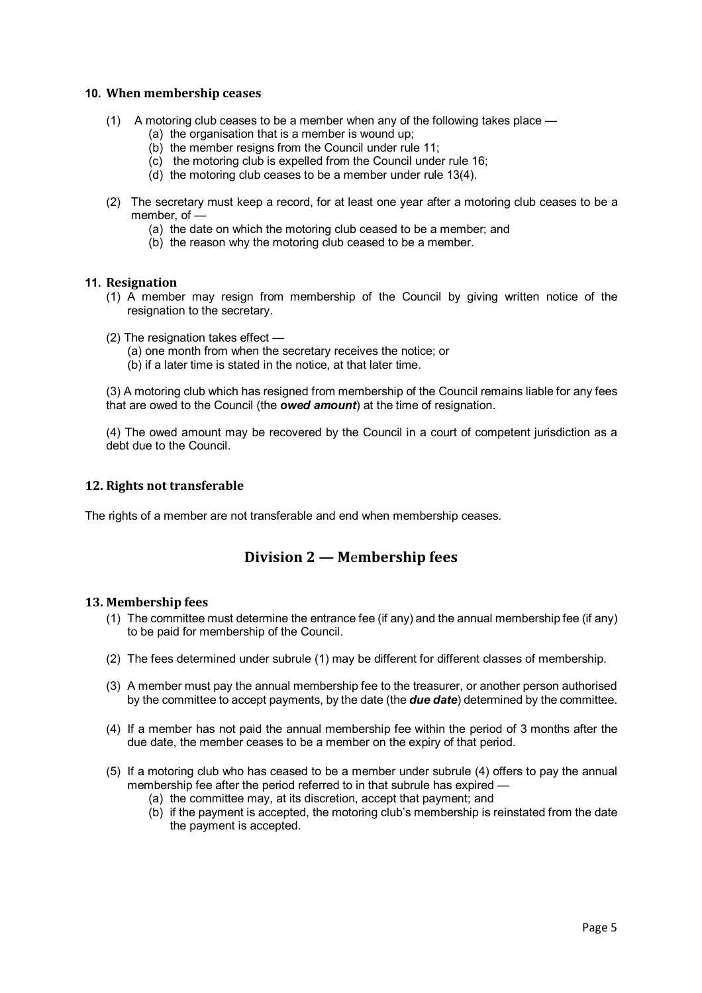#### **10. When membership ceases**

- (1) A motoring club ceases to be a member when any of the following takes place
	- (a) the organisation that is a member is wound up;
	- (b) the member resigns from the Council under rule 11;
	- (c) the motoring club is expelled from the Council under rule 16;
	- (d) the motoring club ceases to be a member under rule 13(4).
- (2) The secretary must keep a record, for at least one year after a motoring club ceases to be a member, of —
	- (a) the date on which the motoring club ceased to be a member; and
	- (b) the reason why the motoring club ceased to be a member.

#### **11. Resignation**

- (1) A member may resign from membership of the Council by giving written notice of the resignation to the secretary.
- (2) The resignation takes effect
	- (a) one month from when the secretary receives the notice; or
	- (b) if a later time is stated in the notice, at that later time.

(3) A motoring club which has resigned from membership of the Council remains liable for any fees that are owed to the Council (the *owed amount*) at the time of resignation.

(4) The owed amount may be recovered by the Council in a court of competent jurisdiction as a debt due to the Council.

## **12. Rights not transferable**

The rights of a member are not transferable and end when membership ceases.

## **Division 2 — M**e**mbership fees**

#### **13. Membership fees**

- (1) The committee must determine the entrance fee (if any) and the annual membership fee (if any) to be paid for membership of the Council.
- (2) The fees determined under subrule (1) may be different for different classes of membership.
- (3) A member must pay the annual membership fee to the treasurer, or another person authorised by the committee to accept payments, by the date (the *due date*) determined by the committee.
- (4) If a member has not paid the annual membership fee within the period of 3 months after the due date, the member ceases to be a member on the expiry of that period.
- (5) If a motoring club who has ceased to be a member under subrule (4) offers to pay the annual membership fee after the period referred to in that subrule has expired -
	- (a) the committee may, at its discretion, accept that payment; and
	- (b) if the payment is accepted, the motoring club's membership is reinstated from the date the payment is accepted.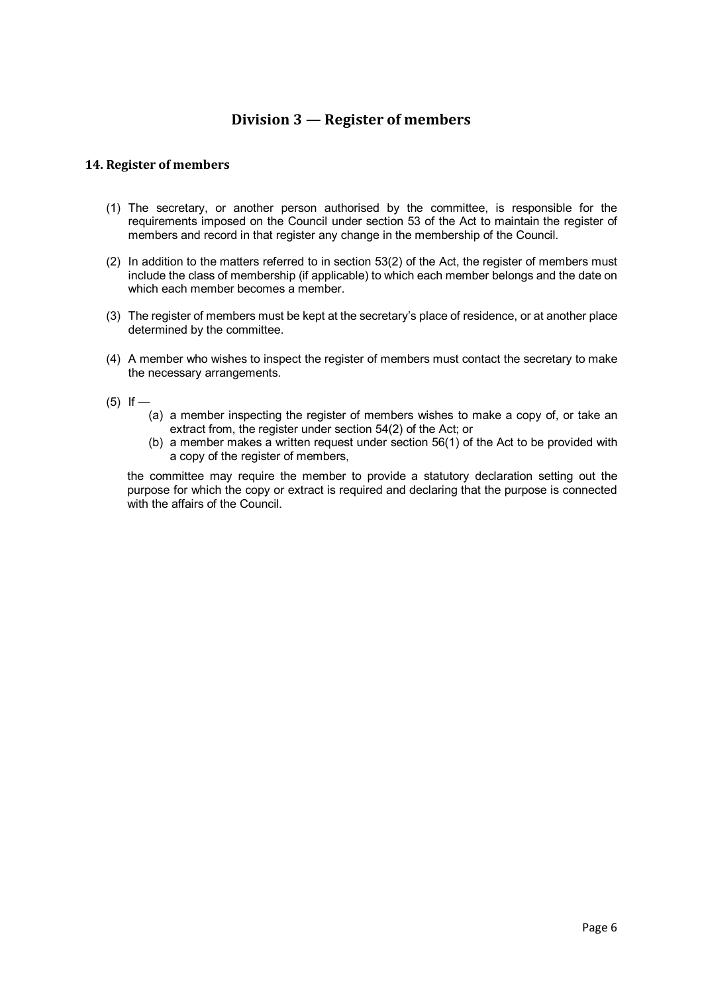# **Division 3 — Register of members**

## **14. Register of members**

- (1) The secretary, or another person authorised by the committee, is responsible for the requirements imposed on the Council under section 53 of the Act to maintain the register of members and record in that register any change in the membership of the Council.
- (2) In addition to the matters referred to in section 53(2) of the Act, the register of members must include the class of membership (if applicable) to which each member belongs and the date on which each member becomes a member.
- (3) The register of members must be kept at the secretary's place of residence, or at another place determined by the committee.
- (4) A member who wishes to inspect the register of members must contact the secretary to make the necessary arrangements.
- $(5)$  If
	- (a) a member inspecting the register of members wishes to make a copy of, or take an extract from, the register under section 54(2) of the Act; or
	- (b) a member makes a written request under section 56(1) of the Act to be provided with a copy of the register of members,

the committee may require the member to provide a statutory declaration setting out the purpose for which the copy or extract is required and declaring that the purpose is connected with the affairs of the Council.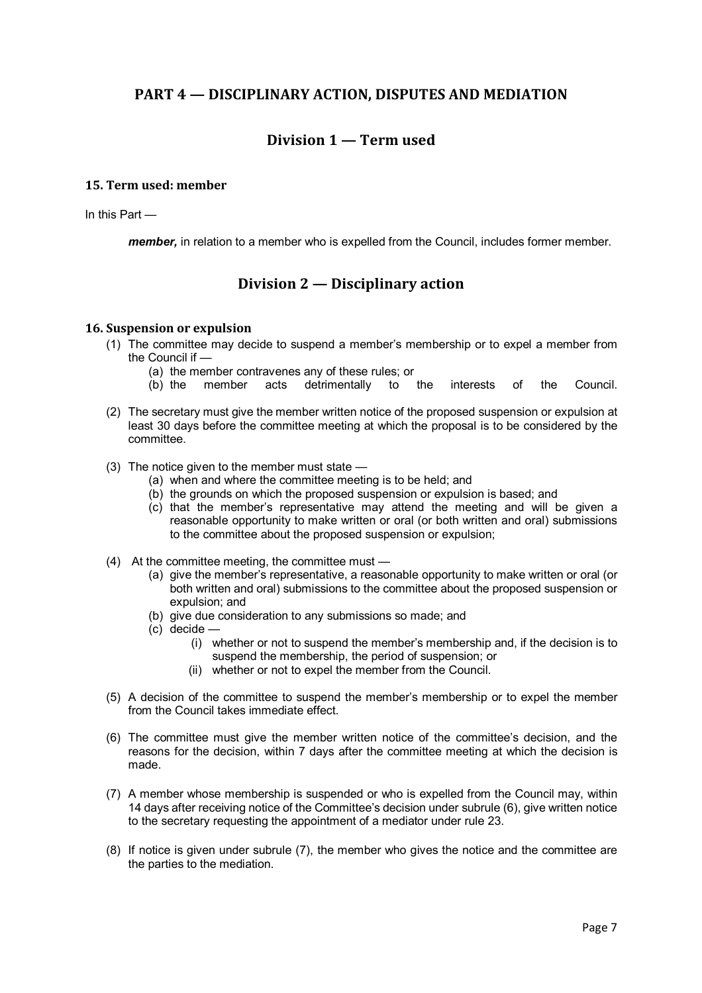## **PART 4 — DISCIPLINARY ACTION, DISPUTES AND MEDIATION**

# **Division 1 — Term used**

## **15. Term used: member**

In this Part —

*member,* in relation to a member who is expelled from the Council, includes former member.

## **Division 2 — Disciplinary action**

#### **16. Suspension or expulsion**

- (1) The committee may decide to suspend a member's membership or to expel a member from the Council if —
	- (a) the member contravenes any of these rules; or
	- (b) the member acts detrimentally to the interests of the Council.
- (2) The secretary must give the member written notice of the proposed suspension or expulsion at least 30 days before the committee meeting at which the proposal is to be considered by the committee.
- (3) The notice given to the member must state
	- (a) when and where the committee meeting is to be held; and
	- (b) the grounds on which the proposed suspension or expulsion is based; and
	- (c) that the member's representative may attend the meeting and will be given a reasonable opportunity to make written or oral (or both written and oral) submissions to the committee about the proposed suspension or expulsion;
- (4) At the committee meeting, the committee must
	- (a) give the member's representative, a reasonable opportunity to make written or oral (or both written and oral) submissions to the committee about the proposed suspension or expulsion; and
	- (b) give due consideration to any submissions so made; and
	- (c) decide
		- (i) whether or not to suspend the member's membership and, if the decision is to suspend the membership, the period of suspension; or
		- (ii) whether or not to expel the member from the Council.
- (5) A decision of the committee to suspend the member's membership or to expel the member from the Council takes immediate effect.
- (6) The committee must give the member written notice of the committee's decision, and the reasons for the decision, within 7 days after the committee meeting at which the decision is made.
- (7) A member whose membership is suspended or who is expelled from the Council may, within 14 days after receiving notice of the Committee's decision under subrule (6), give written notice to the secretary requesting the appointment of a mediator under rule 23.
- (8) If notice is given under subrule (7), the member who gives the notice and the committee are the parties to the mediation.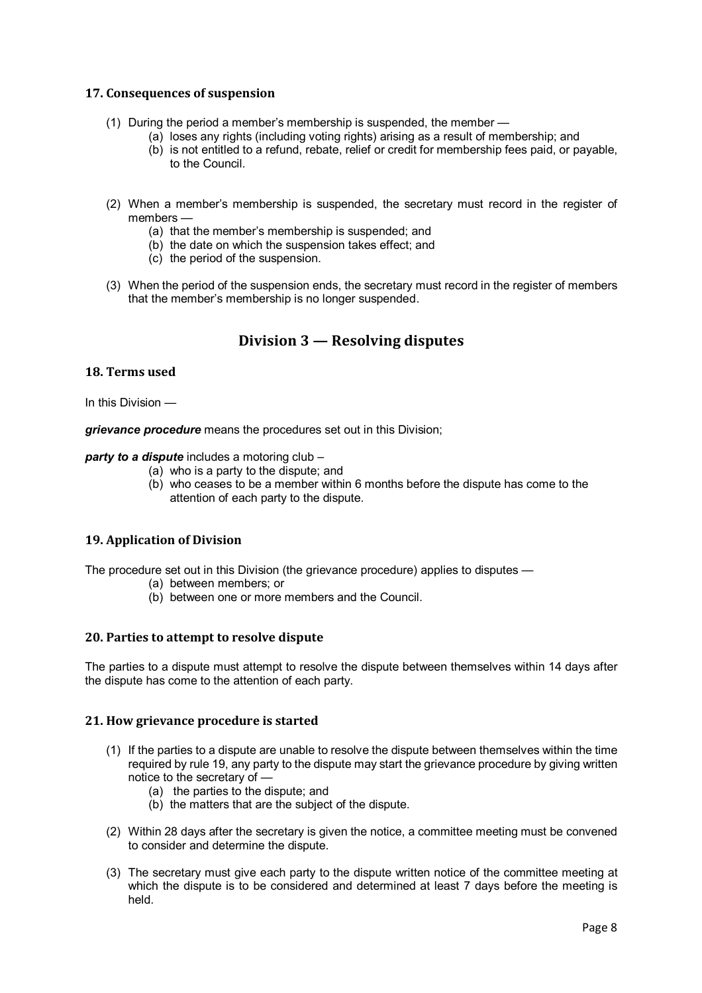## **17. Consequences of suspension**

- (1) During the period a member's membership is suspended, the member
	- (a) loses any rights (including voting rights) arising as a result of membership; and
	- (b) is not entitled to a refund, rebate, relief or credit for membership fees paid, or payable, to the Council.
- (2) When a member's membership is suspended, the secretary must record in the register of members —
	- (a) that the member's membership is suspended; and
	- (b) the date on which the suspension takes effect; and
	- (c) the period of the suspension.
- (3) When the period of the suspension ends, the secretary must record in the register of members that the member's membership is no longer suspended.

# **Division 3 — Resolving disputes**

## **18. Terms used**

In this Division —

*grievance procedure* means the procedures set out in this Division;

## *party to a dispute* includes a motoring club –

- (a) who is a party to the dispute; and
- (b) who ceases to be a member within 6 months before the dispute has come to the attention of each party to the dispute.

## **19. Application of Division**

The procedure set out in this Division (the grievance procedure) applies to disputes —

- (a) between members; or
- (b) between one or more members and the Council.

#### **20. Parties to attempt to resolve dispute**

The parties to a dispute must attempt to resolve the dispute between themselves within 14 days after the dispute has come to the attention of each party.

#### **21. How grievance procedure is started**

- (1) If the parties to a dispute are unable to resolve the dispute between themselves within the time required by rule 19, any party to the dispute may start the grievance procedure by giving written notice to the secretary of —
	- (a) the parties to the dispute; and
	- (b) the matters that are the subject of the dispute.
- (2) Within 28 days after the secretary is given the notice, a committee meeting must be convened to consider and determine the dispute.
- (3) The secretary must give each party to the dispute written notice of the committee meeting at which the dispute is to be considered and determined at least 7 days before the meeting is held.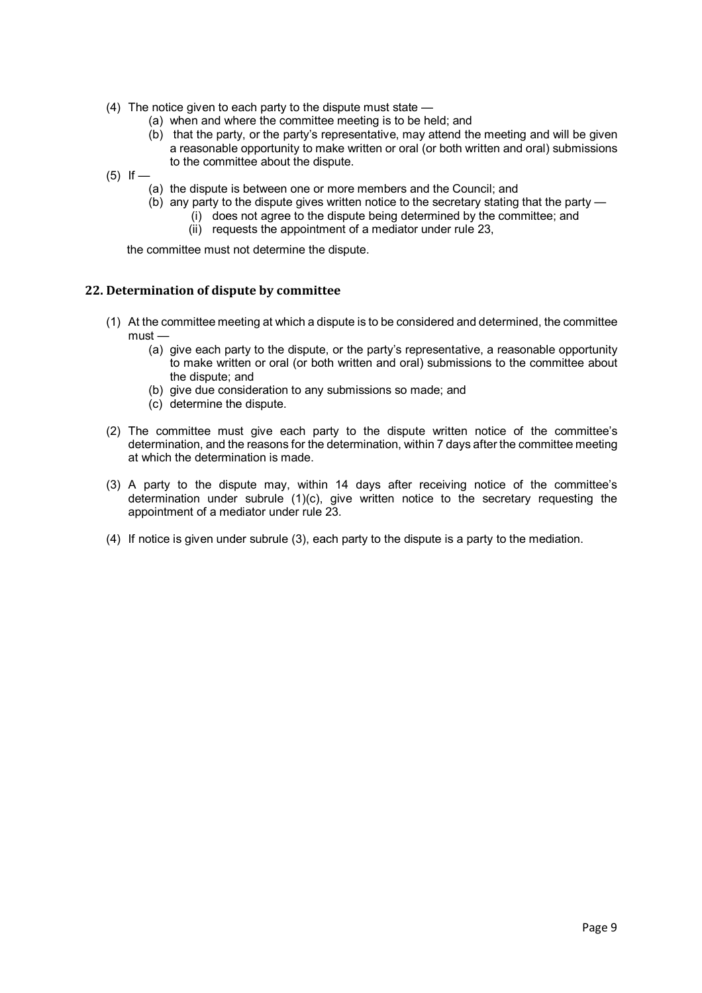- (4) The notice given to each party to the dispute must state
	- (a) when and where the committee meeting is to be held; and
	- (b) that the party, or the party's representative, may attend the meeting and will be given a reasonable opportunity to make written or oral (or both written and oral) submissions to the committee about the dispute.

 $(5)$  If —

- (a) the dispute is between one or more members and the Council; and
- (b) any party to the dispute gives written notice to the secretary stating that the party
	- (i) does not agree to the dispute being determined by the committee; and
	- (ii) requests the appointment of a mediator under rule 23,

the committee must not determine the dispute.

#### **22. Determination of dispute by committee**

- (1) At the committee meeting at which a dispute is to be considered and determined, the committee must —
	- (a) give each party to the dispute, or the party's representative, a reasonable opportunity to make written or oral (or both written and oral) submissions to the committee about the dispute; and
	- (b) give due consideration to any submissions so made; and
	- (c) determine the dispute.
- (2) The committee must give each party to the dispute written notice of the committee's determination, and the reasons for the determination, within 7 days after the committee meeting at which the determination is made.
- (3) A party to the dispute may, within 14 days after receiving notice of the committee's determination under subrule (1)(c), give written notice to the secretary requesting the appointment of a mediator under rule 23.
- (4) If notice is given under subrule (3), each party to the dispute is a party to the mediation.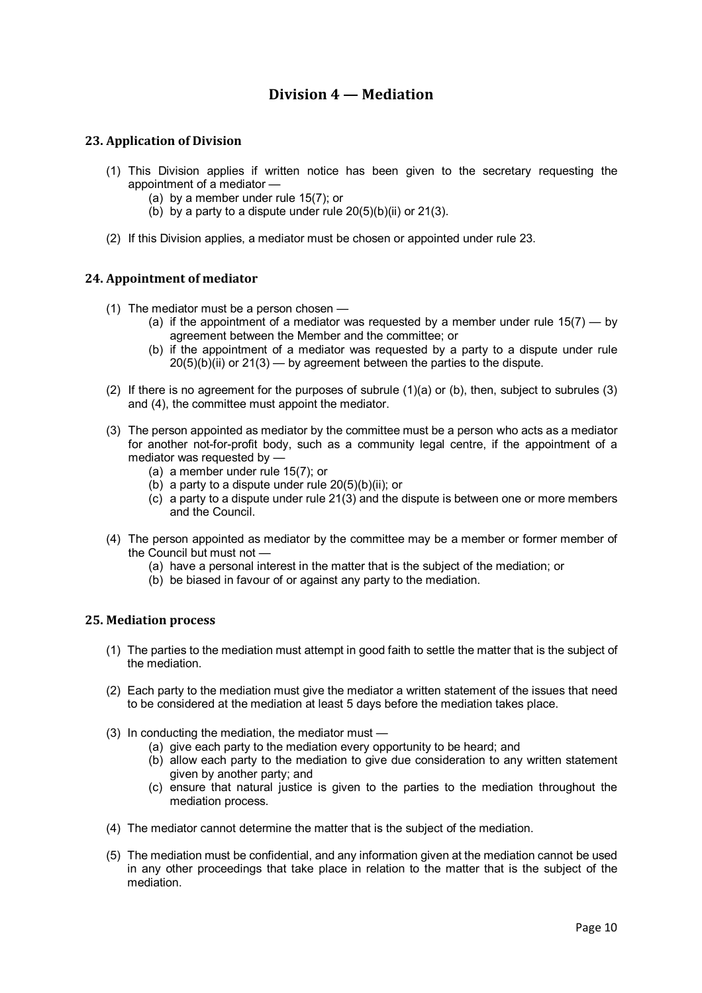# **Division 4 — Mediation**

## **23. Application of Division**

- (1) This Division applies if written notice has been given to the secretary requesting the appointment of a mediator —
	- (a) by a member under rule 15(7); or
	- (b) by a party to a dispute under rule  $20(5)(b)(ii)$  or  $21(3)$ .
- (2) If this Division applies, a mediator must be chosen or appointed under rule 23.

## **24. Appointment of mediator**

- (1) The mediator must be a person chosen
	- (a) if the appointment of a mediator was requested by a member under rule  $15(7) -$  by agreement between the Member and the committee; or
	- (b) if the appointment of a mediator was requested by a party to a dispute under rule  $20(5)(b)(ii)$  or  $21(3)$  — by agreement between the parties to the dispute.
- (2) If there is no agreement for the purposes of subrule (1)(a) or (b), then, subject to subrules (3) and (4), the committee must appoint the mediator.
- (3) The person appointed as mediator by the committee must be a person who acts as a mediator for another not-for-profit body, such as a community legal centre, if the appointment of a mediator was requested by —
	- (a) a member under rule 15(7); or
	- $(b)$  a party to a dispute under rule 20(5)(b)(ii); or
	- (c) a party to a dispute under rule 21(3) and the dispute is between one or more members and the Council.
- (4) The person appointed as mediator by the committee may be a member or former member of the Council but must not —
	- (a) have a personal interest in the matter that is the subject of the mediation; or
	- (b) be biased in favour of or against any party to the mediation.

#### **25. Mediation process**

- (1) The parties to the mediation must attempt in good faith to settle the matter that is the subject of the mediation.
- (2) Each party to the mediation must give the mediator a written statement of the issues that need to be considered at the mediation at least 5 days before the mediation takes place.
- (3) In conducting the mediation, the mediator must
	- (a) give each party to the mediation every opportunity to be heard; and
	- (b) allow each party to the mediation to give due consideration to any written statement given by another party; and
	- (c) ensure that natural justice is given to the parties to the mediation throughout the mediation process.
- (4) The mediator cannot determine the matter that is the subject of the mediation.
- (5) The mediation must be confidential, and any information given at the mediation cannot be used in any other proceedings that take place in relation to the matter that is the subject of the mediation.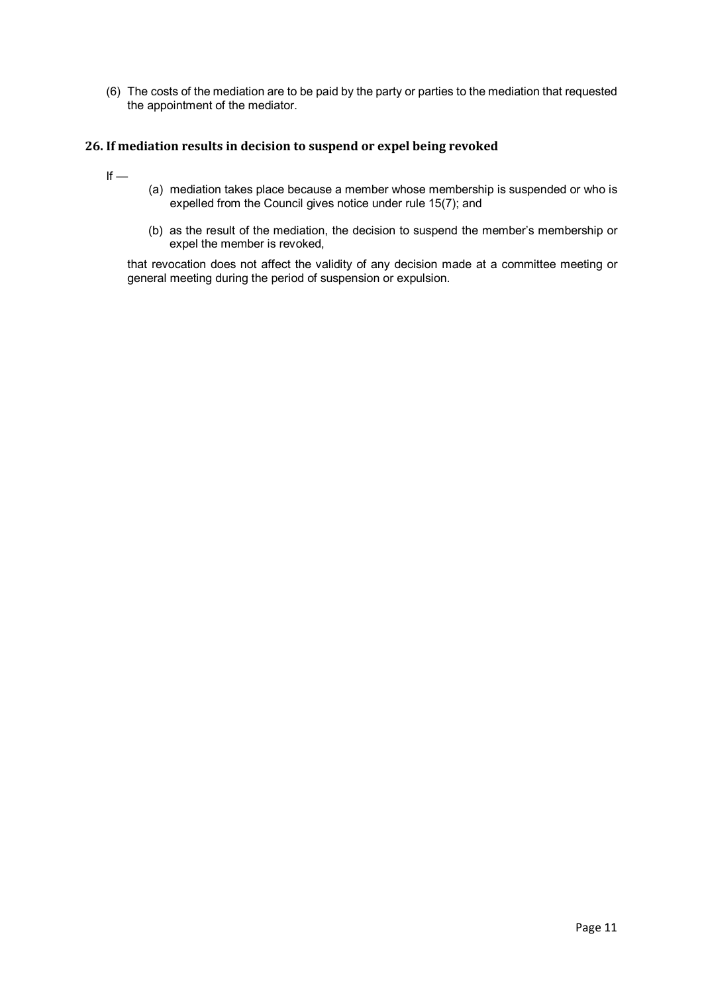(6) The costs of the mediation are to be paid by the party or parties to the mediation that requested the appointment of the mediator.

## **26. If mediation results in decision to suspend or expel being revoked**

- $If -$
- (a) mediation takes place because a member whose membership is suspended or who is expelled from the Council gives notice under rule 15(7); and
- (b) as the result of the mediation, the decision to suspend the member's membership or expel the member is revoked,

that revocation does not affect the validity of any decision made at a committee meeting or general meeting during the period of suspension or expulsion.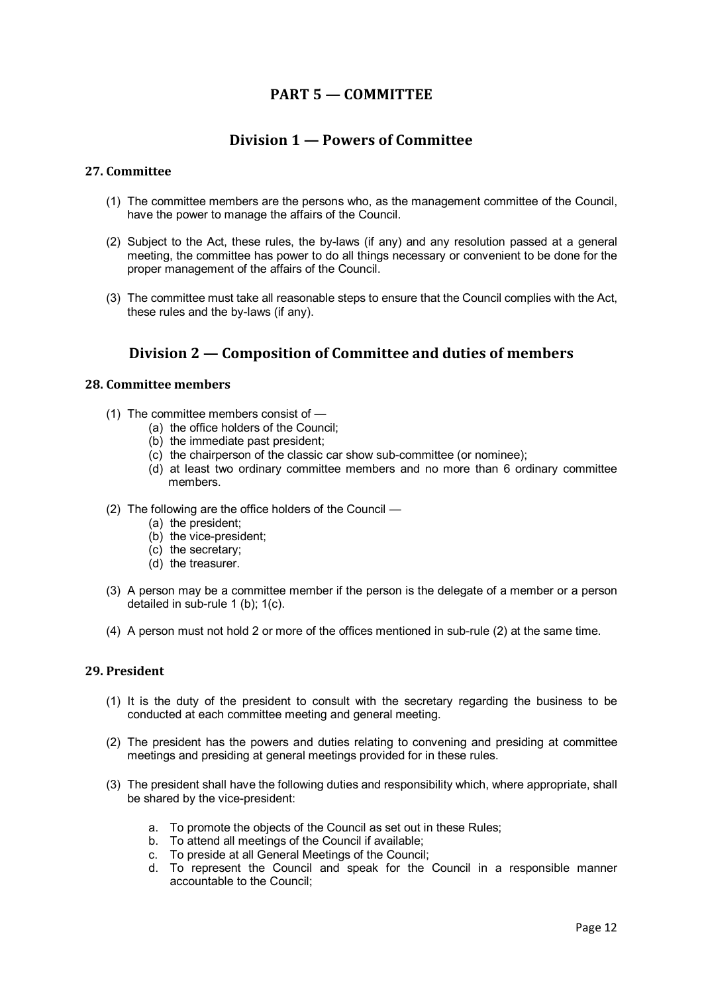# **PART 5 — COMMITTEE**

## **Division 1 — Powers of Committee**

## **27. Committee**

- (1) The committee members are the persons who, as the management committee of the Council, have the power to manage the affairs of the Council.
- (2) Subject to the Act, these rules, the by-laws (if any) and any resolution passed at a general meeting, the committee has power to do all things necessary or convenient to be done for the proper management of the affairs of the Council.
- (3) The committee must take all reasonable steps to ensure that the Council complies with the Act, these rules and the by-laws (if any).

# **Division 2 — Composition of Committee and duties of members**

## **28. Committee members**

- (1) The committee members consist of
	- (a) the office holders of the Council;
	- (b) the immediate past president;
	- (c) the chairperson of the classic car show sub-committee (or nominee);
	- (d) at least two ordinary committee members and no more than 6 ordinary committee members.
- (2) The following are the office holders of the Council
	- (a) the president;
	- (b) the vice-president;
	- (c) the secretary;
	- (d) the treasurer.
- (3) A person may be a committee member if the person is the delegate of a member or a person detailed in sub-rule 1 (b); 1(c).
- (4) A person must not hold 2 or more of the offices mentioned in sub-rule (2) at the same time.

## **29. President**

- (1) It is the duty of the president to consult with the secretary regarding the business to be conducted at each committee meeting and general meeting.
- (2) The president has the powers and duties relating to convening and presiding at committee meetings and presiding at general meetings provided for in these rules.
- (3) The president shall have the following duties and responsibility which, where appropriate, shall be shared by the vice-president:
	- a. To promote the objects of the Council as set out in these Rules;
	- b. To attend all meetings of the Council if available;
	- c. To preside at all General Meetings of the Council;
	- d. To represent the Council and speak for the Council in a responsible manner accountable to the Council;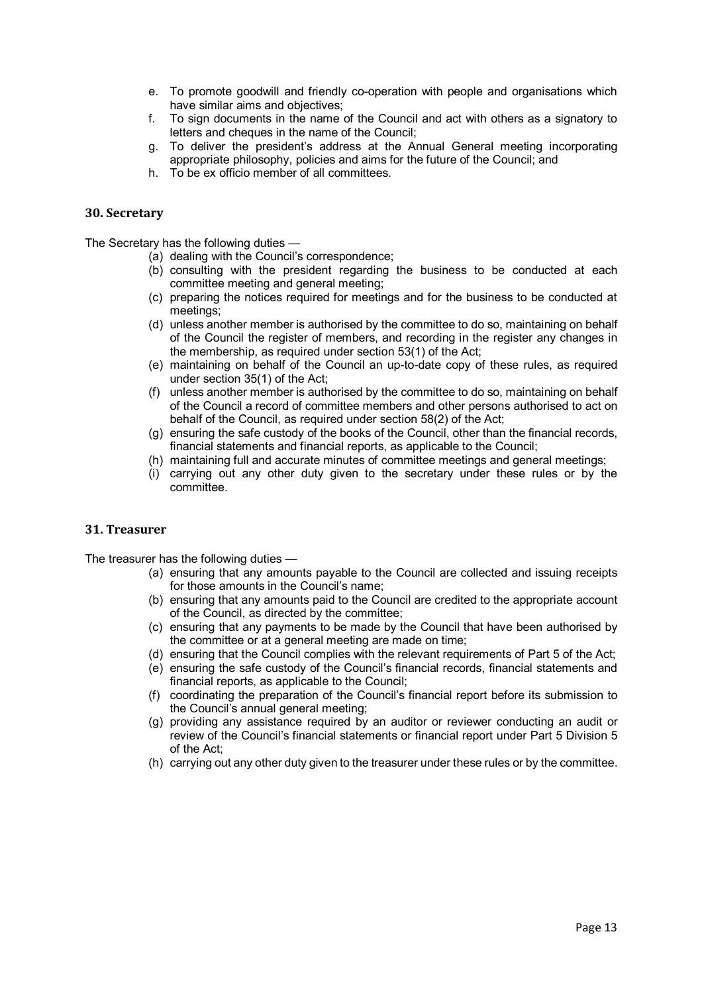- e. To promote goodwill and friendly co-operation with people and organisations which have similar aims and objectives;
- f. To sign documents in the name of the Council and act with others as a signatory to letters and cheques in the name of the Council;
- g. To deliver the president's address at the Annual General meeting incorporating appropriate philosophy, policies and aims for the future of the Council; and
- h. To be ex officio member of all committees.

#### **30. Secretary**

The Secretary has the following duties —

- (a) dealing with the Council's correspondence;
- (b) consulting with the president regarding the business to be conducted at each committee meeting and general meeting;
- (c) preparing the notices required for meetings and for the business to be conducted at meetings;
- (d) unless another member is authorised by the committee to do so, maintaining on behalf of the Council the register of members, and recording in the register any changes in the membership, as required under section 53(1) of the Act;
- (e) maintaining on behalf of the Council an up-to-date copy of these rules, as required under section 35(1) of the Act;
- (f) unless another member is authorised by the committee to do so, maintaining on behalf of the Council a record of committee members and other persons authorised to act on behalf of the Council, as required under section 58(2) of the Act;
- (g) ensuring the safe custody of the books of the Council, other than the financial records, financial statements and financial reports, as applicable to the Council;
- (h) maintaining full and accurate minutes of committee meetings and general meetings;
- (i) carrying out any other duty given to the secretary under these rules or by the committee.

#### **31. Treasurer**

The treasurer has the following duties —

- (a) ensuring that any amounts payable to the Council are collected and issuing receipts for those amounts in the Council's name;
- (b) ensuring that any amounts paid to the Council are credited to the appropriate account of the Council, as directed by the committee;
- (c) ensuring that any payments to be made by the Council that have been authorised by the committee or at a general meeting are made on time;
- (d) ensuring that the Council complies with the relevant requirements of Part 5 of the Act;
- (e) ensuring the safe custody of the Council's financial records, financial statements and financial reports, as applicable to the Council;
- (f) coordinating the preparation of the Council's financial report before its submission to the Council's annual general meeting;
- (g) providing any assistance required by an auditor or reviewer conducting an audit or review of the Council's financial statements or financial report under Part 5 Division 5 of the Act;
- (h) carrying out any other duty given to the treasurer under these rules or by the committee.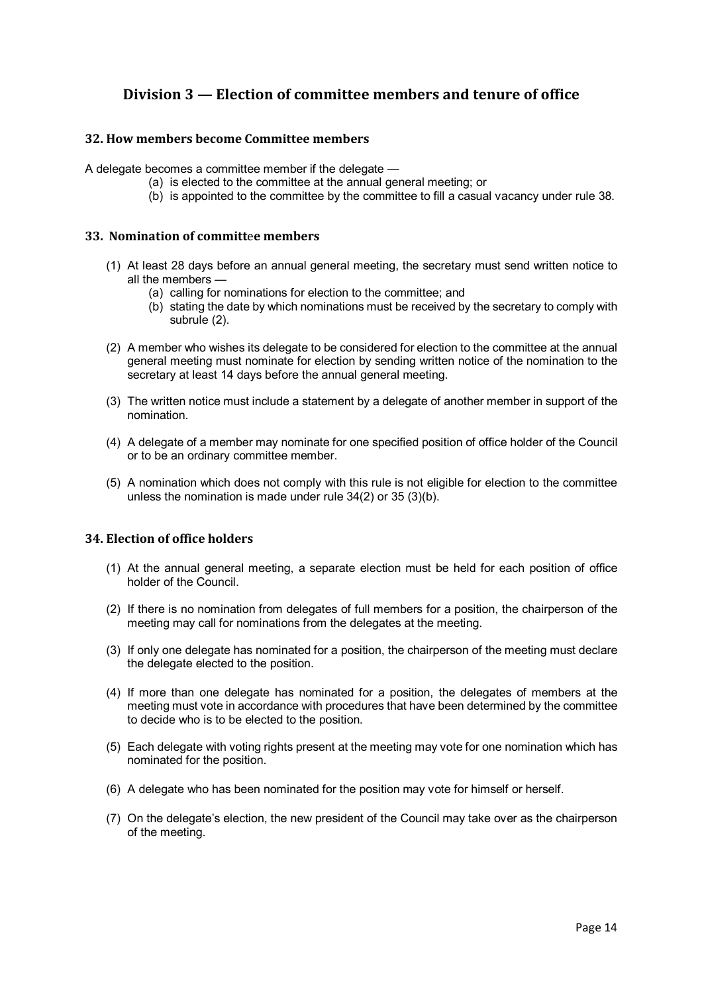# **Division 3 — Election of committee members and tenure of office**

## **32. How members become Committee members**

A delegate becomes a committee member if the delegate —

- (a) is elected to the committee at the annual general meeting; or
- (b) is appointed to the committee by the committee to fill a casual vacancy under rule 38.

## **33. Nomination of committ**e**e members**

- (1) At least 28 days before an annual general meeting, the secretary must send written notice to all the members —
	- (a) calling for nominations for election to the committee; and
	- (b) stating the date by which nominations must be received by the secretary to comply with subrule (2).
- (2) A member who wishes its delegate to be considered for election to the committee at the annual general meeting must nominate for election by sending written notice of the nomination to the secretary at least 14 days before the annual general meeting.
- (3) The written notice must include a statement by a delegate of another member in support of the nomination.
- (4) A delegate of a member may nominate for one specified position of office holder of the Council or to be an ordinary committee member.
- (5) A nomination which does not comply with this rule is not eligible for election to the committee unless the nomination is made under rule 34(2) or 35 (3)(b).

## **34. Election of office holders**

- (1) At the annual general meeting, a separate election must be held for each position of office holder of the Council.
- (2) If there is no nomination from delegates of full members for a position, the chairperson of the meeting may call for nominations from the delegates at the meeting.
- (3) If only one delegate has nominated for a position, the chairperson of the meeting must declare the delegate elected to the position.
- (4) If more than one delegate has nominated for a position, the delegates of members at the meeting must vote in accordance with procedures that have been determined by the committee to decide who is to be elected to the position.
- (5) Each delegate with voting rights present at the meeting may vote for one nomination which has nominated for the position.
- (6) A delegate who has been nominated for the position may vote for himself or herself.
- (7) On the delegate's election, the new president of the Council may take over as the chairperson of the meeting.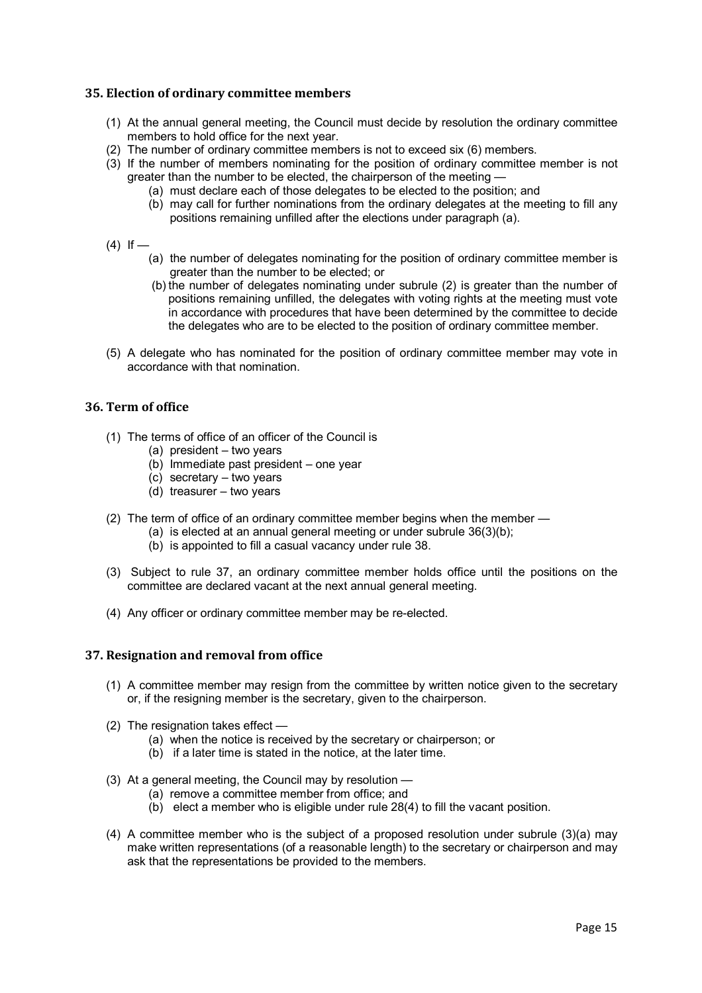## **35. Election of ordinary committee members**

- (1) At the annual general meeting, the Council must decide by resolution the ordinary committee members to hold office for the next year.
- (2) The number of ordinary committee members is not to exceed six (6) members.
- (3) If the number of members nominating for the position of ordinary committee member is not greater than the number to be elected, the chairperson of the meeting —
	- (a) must declare each of those delegates to be elected to the position; and
	- (b) may call for further nominations from the ordinary delegates at the meeting to fill any positions remaining unfilled after the elections under paragraph (a).
- $(4)$  If
	- (a) the number of delegates nominating for the position of ordinary committee member is greater than the number to be elected; or
	- (b) the number of delegates nominating under subrule (2) is greater than the number of positions remaining unfilled, the delegates with voting rights at the meeting must vote in accordance with procedures that have been determined by the committee to decide the delegates who are to be elected to the position of ordinary committee member.
- (5) A delegate who has nominated for the position of ordinary committee member may vote in accordance with that nomination.

## **36. Term of office**

- (1) The terms of office of an officer of the Council is
	- (a) president two years
	- (b) Immediate past president one year
	- (c) secretary two years
	- (d) treasurer two years
- (2) The term of office of an ordinary committee member begins when the member
	- (a) is elected at an annual general meeting or under subrule 36(3)(b);
		- (b) is appointed to fill a casual vacancy under rule 38.
- (3) Subject to rule 37, an ordinary committee member holds office until the positions on the committee are declared vacant at the next annual general meeting.
- (4) Any officer or ordinary committee member may be re-elected.

## **37. Resignation and removal from office**

- (1) A committee member may resign from the committee by written notice given to the secretary or, if the resigning member is the secretary, given to the chairperson.
- (2) The resignation takes effect
	- (a) when the notice is received by the secretary or chairperson; or
	- (b) if a later time is stated in the notice, at the later time.
- (3) At a general meeting, the Council may by resolution
	- (a) remove a committee member from office; and
	- (b) elect a member who is eligible under rule 28(4) to fill the vacant position.
- (4) A committee member who is the subject of a proposed resolution under subrule (3)(a) may make written representations (of a reasonable length) to the secretary or chairperson and may ask that the representations be provided to the members.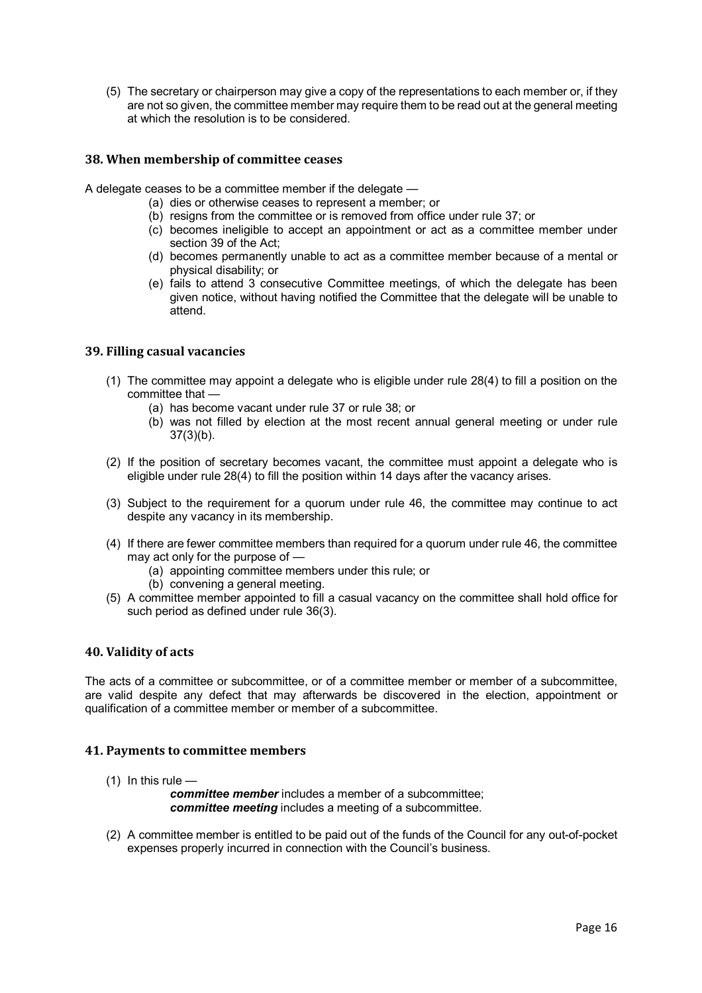(5) The secretary or chairperson may give a copy of the representations to each member or, if they are not so given, the committee member may require them to be read out at the general meeting at which the resolution is to be considered.

## **38. When membership of committee ceases**

A delegate ceases to be a committee member if the delegate —

- (a) dies or otherwise ceases to represent a member; or
- (b) resigns from the committee or is removed from office under rule 37; or
- (c) becomes ineligible to accept an appointment or act as a committee member under section 39 of the Act;
- (d) becomes permanently unable to act as a committee member because of a mental or physical disability; or
- (e) fails to attend 3 consecutive Committee meetings, of which the delegate has been given notice, without having notified the Committee that the delegate will be unable to attend.

#### **39. Filling casual vacancies**

- (1) The committee may appoint a delegate who is eligible under rule 28(4) to fill a position on the committee that —
	- (a) has become vacant under rule 37 or rule 38; or
	- (b) was not filled by election at the most recent annual general meeting or under rule 37(3)(b).
- (2) If the position of secretary becomes vacant, the committee must appoint a delegate who is eligible under rule 28(4) to fill the position within 14 days after the vacancy arises.
- (3) Subject to the requirement for a quorum under rule 46, the committee may continue to act despite any vacancy in its membership.
- (4) If there are fewer committee members than required for a quorum under rule 46, the committee may act only for the purpose of —
	- (a) appointing committee members under this rule; or
	- (b) convening a general meeting.
- (5) A committee member appointed to fill a casual vacancy on the committee shall hold office for such period as defined under rule 36(3).

#### **40. Validity of acts**

The acts of a committee or subcommittee, or of a committee member or member of a subcommittee, are valid despite any defect that may afterwards be discovered in the election, appointment or qualification of a committee member or member of a subcommittee.

## **41. Payments to committee members**

 $(1)$  In this rule —

*committee member* includes a member of a subcommittee; *committee meeting* includes a meeting of a subcommittee.

(2) A committee member is entitled to be paid out of the funds of the Council for any out-of-pocket expenses properly incurred in connection with the Council's business.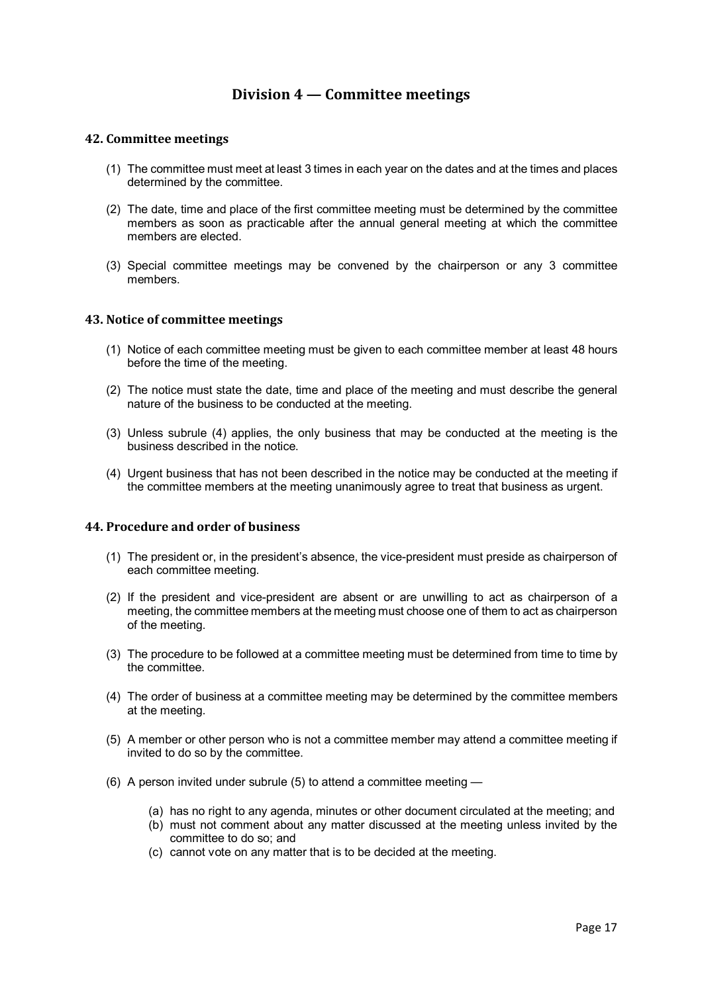## **Division 4 — Committee meetings**

#### **42. Committee meetings**

- (1) The committee must meet at least 3 times in each year on the dates and at the times and places determined by the committee.
- (2) The date, time and place of the first committee meeting must be determined by the committee members as soon as practicable after the annual general meeting at which the committee members are elected.
- (3) Special committee meetings may be convened by the chairperson or any 3 committee members.

#### **43. Notice of committee meetings**

- (1) Notice of each committee meeting must be given to each committee member at least 48 hours before the time of the meeting.
- (2) The notice must state the date, time and place of the meeting and must describe the general nature of the business to be conducted at the meeting.
- (3) Unless subrule (4) applies, the only business that may be conducted at the meeting is the business described in the notice.
- (4) Urgent business that has not been described in the notice may be conducted at the meeting if the committee members at the meeting unanimously agree to treat that business as urgent.

#### **44. Procedure and order of business**

- (1) The president or, in the president's absence, the vice-president must preside as chairperson of each committee meeting.
- (2) If the president and vice-president are absent or are unwilling to act as chairperson of a meeting, the committee members at the meeting must choose one of them to act as chairperson of the meeting.
- (3) The procedure to be followed at a committee meeting must be determined from time to time by the committee.
- (4) The order of business at a committee meeting may be determined by the committee members at the meeting.
- (5) A member or other person who is not a committee member may attend a committee meeting if invited to do so by the committee.
- (6) A person invited under subrule (5) to attend a committee meeting
	- (a) has no right to any agenda, minutes or other document circulated at the meeting; and
	- (b) must not comment about any matter discussed at the meeting unless invited by the committee to do so; and
	- (c) cannot vote on any matter that is to be decided at the meeting.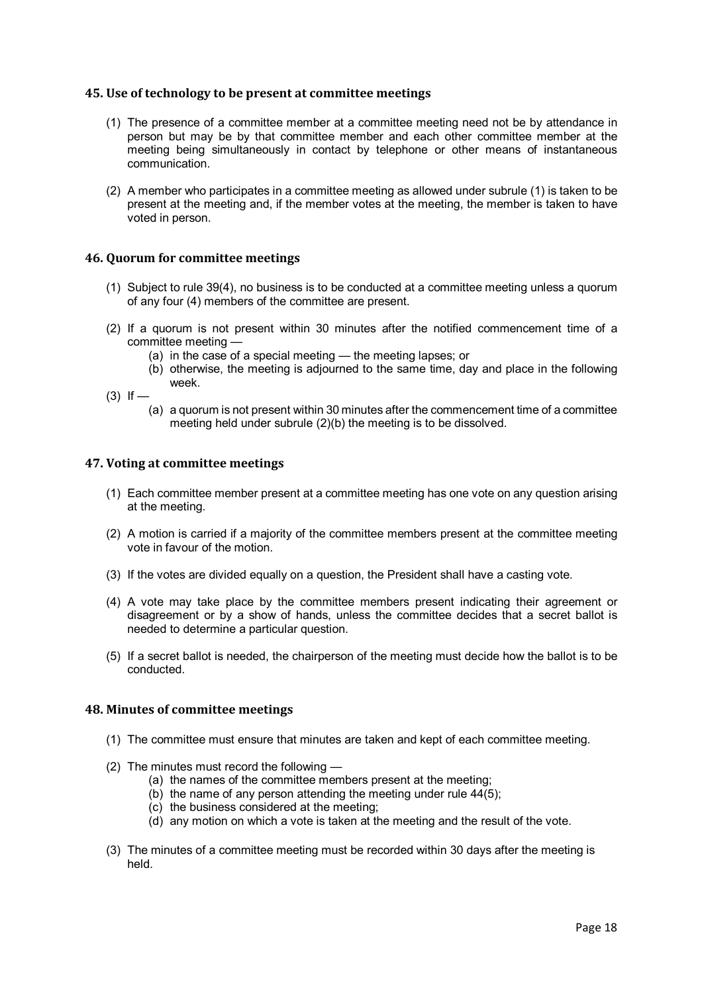#### **45. Use of technology to be present at committee meetings**

- (1) The presence of a committee member at a committee meeting need not be by attendance in person but may be by that committee member and each other committee member at the meeting being simultaneously in contact by telephone or other means of instantaneous communication.
- (2) A member who participates in a committee meeting as allowed under subrule (1) is taken to be present at the meeting and, if the member votes at the meeting, the member is taken to have voted in person.

#### **46. Quorum for committee meetings**

- (1) Subject to rule 39(4), no business is to be conducted at a committee meeting unless a quorum of any four (4) members of the committee are present.
- (2) If a quorum is not present within 30 minutes after the notified commencement time of a committee meeting —
	- (a) in the case of a special meeting the meeting lapses; or
	- (b) otherwise, the meeting is adjourned to the same time, day and place in the following week.

 $(3)$  If —

(a) a quorum is not present within 30 minutes after the commencement time of a committee meeting held under subrule (2)(b) the meeting is to be dissolved.

#### **47. Voting at committee meetings**

- (1) Each committee member present at a committee meeting has one vote on any question arising at the meeting.
- (2) A motion is carried if a majority of the committee members present at the committee meeting vote in favour of the motion.
- (3) If the votes are divided equally on a question, the President shall have a casting vote.
- (4) A vote may take place by the committee members present indicating their agreement or disagreement or by a show of hands, unless the committee decides that a secret ballot is needed to determine a particular question.
- (5) If a secret ballot is needed, the chairperson of the meeting must decide how the ballot is to be conducted.

## **48. Minutes of committee meetings**

- (1) The committee must ensure that minutes are taken and kept of each committee meeting.
- (2) The minutes must record the following
	- (a) the names of the committee members present at the meeting;
	- (b) the name of any person attending the meeting under rule  $44(5)$ ;
	- (c) the business considered at the meeting;
	- (d) any motion on which a vote is taken at the meeting and the result of the vote.
- (3) The minutes of a committee meeting must be recorded within 30 days after the meeting is held.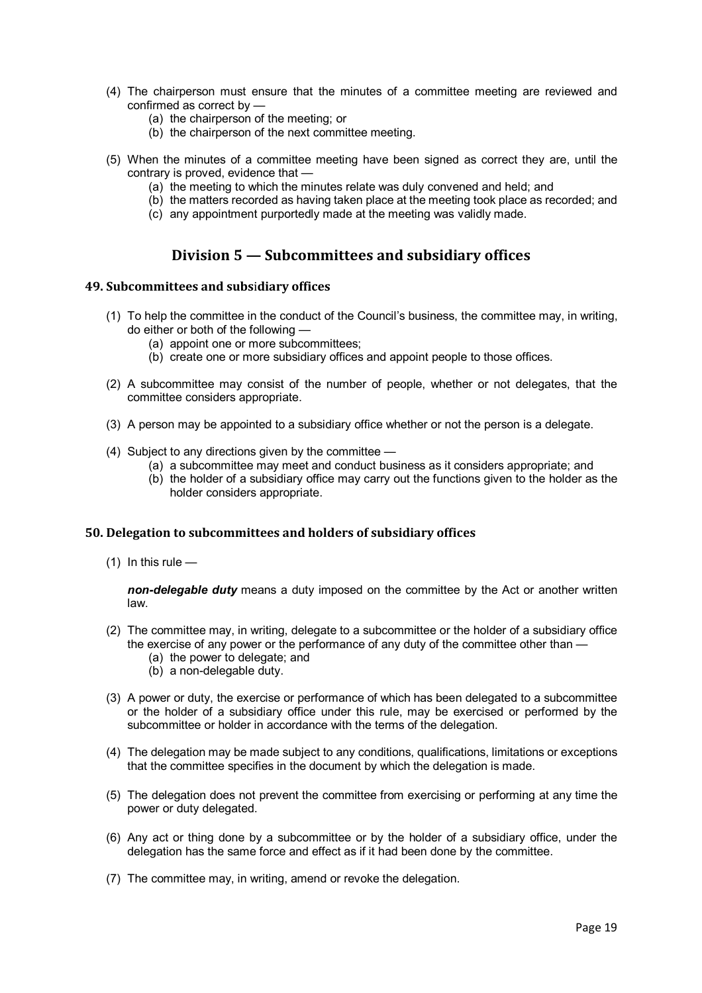- (4) The chairperson must ensure that the minutes of a committee meeting are reviewed and confirmed as correct by —
	- (a) the chairperson of the meeting; or
	- (b) the chairperson of the next committee meeting.
- (5) When the minutes of a committee meeting have been signed as correct they are, until the contrary is proved, evidence that —
	- (a) the meeting to which the minutes relate was duly convened and held; and
	- (b) the matters recorded as having taken place at the meeting took place as recorded; and
	- $\overrightarrow{c}$  any appointment purportedly made at the meeting was validly made.

## **Division 5 — Subcommittees and subsidiary offices**

#### **49. Subcommittees and subs**i**diary offices**

- (1) To help the committee in the conduct of the Council's business, the committee may, in writing, do either or both of the following —
	- (a) appoint one or more subcommittees;
	- (b) create one or more subsidiary offices and appoint people to those offices.
- (2) A subcommittee may consist of the number of people, whether or not delegates, that the committee considers appropriate.
- (3) A person may be appointed to a subsidiary office whether or not the person is a delegate.
- (4) Subject to any directions given by the committee
	- (a) a subcommittee may meet and conduct business as it considers appropriate; and
	- (b) the holder of a subsidiary office may carry out the functions given to the holder as the holder considers appropriate.

#### **50. Delegation to subcommittees and holders of subsidiary offices**

 $(1)$  In this rule —

*non-delegable duty* means a duty imposed on the committee by the Act or another written law.

- (2) The committee may, in writing, delegate to a subcommittee or the holder of a subsidiary office the exercise of any power or the performance of any duty of the committee other than —
	- (a) the power to delegate; and
	- (b) a non-delegable duty.
- (3) A power or duty, the exercise or performance of which has been delegated to a subcommittee or the holder of a subsidiary office under this rule, may be exercised or performed by the subcommittee or holder in accordance with the terms of the delegation.
- (4) The delegation may be made subject to any conditions, qualifications, limitations or exceptions that the committee specifies in the document by which the delegation is made.
- (5) The delegation does not prevent the committee from exercising or performing at any time the power or duty delegated.
- (6) Any act or thing done by a subcommittee or by the holder of a subsidiary office, under the delegation has the same force and effect as if it had been done by the committee.
- (7) The committee may, in writing, amend or revoke the delegation.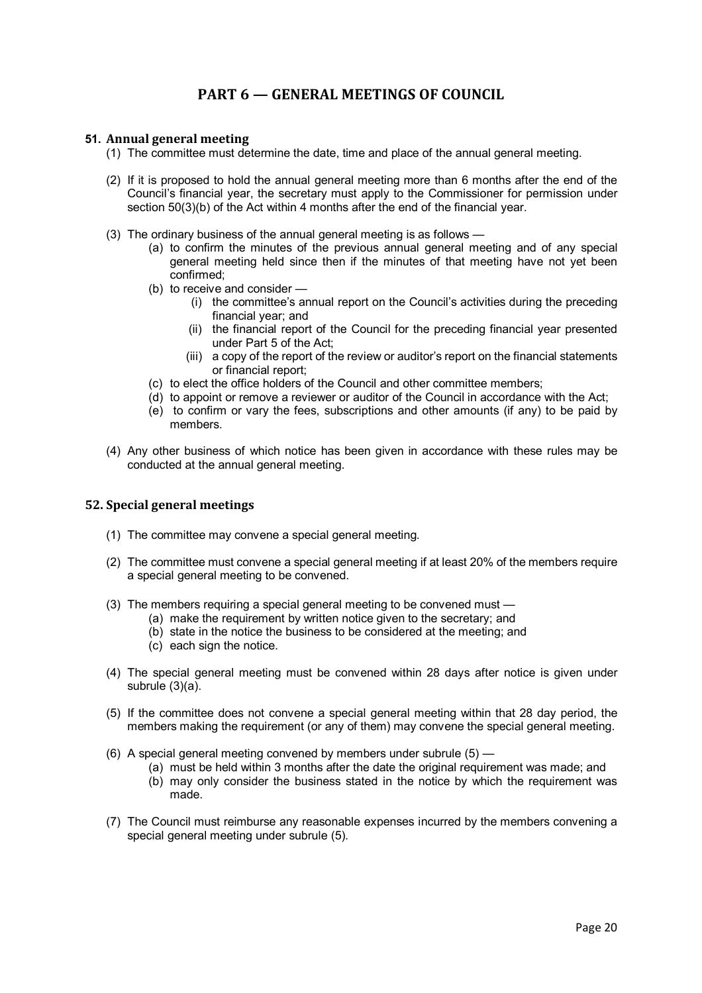# **PART 6 — GENERAL MEETINGS OF COUNCIL**

## **51. Annual general meeting**

- (1) The committee must determine the date, time and place of the annual general meeting.
- (2) If it is proposed to hold the annual general meeting more than 6 months after the end of the Council's financial year, the secretary must apply to the Commissioner for permission under section 50(3)(b) of the Act within 4 months after the end of the financial year.
- (3) The ordinary business of the annual general meeting is as follows
	- (a) to confirm the minutes of the previous annual general meeting and of any special general meeting held since then if the minutes of that meeting have not yet been confirmed;
	- (b) to receive and consider
		- (i) the committee's annual report on the Council's activities during the preceding financial year; and
		- (ii) the financial report of the Council for the preceding financial year presented under Part 5 of the Act;
		- (iii) a copy of the report of the review or auditor's report on the financial statements or financial report;
	- (c) to elect the office holders of the Council and other committee members;
	- (d) to appoint or remove a reviewer or auditor of the Council in accordance with the Act;
	- (e) to confirm or vary the fees, subscriptions and other amounts (if any) to be paid by members.
- (4) Any other business of which notice has been given in accordance with these rules may be conducted at the annual general meeting.

#### **52. Special general meetings**

- (1) The committee may convene a special general meeting.
- (2) The committee must convene a special general meeting if at least 20% of the members require a special general meeting to be convened.
- (3) The members requiring a special general meeting to be convened must
	- (a) make the requirement by written notice given to the secretary; and
	- (b) state in the notice the business to be considered at the meeting; and
	- (c) each sign the notice.
- (4) The special general meeting must be convened within 28 days after notice is given under subrule (3)(a).
- (5) If the committee does not convene a special general meeting within that 28 day period, the members making the requirement (or any of them) may convene the special general meeting.
- (6) A special general meeting convened by members under subrule (5)
	- (a) must be held within 3 months after the date the original requirement was made; and
	- (b) may only consider the business stated in the notice by which the requirement was made.
- (7) The Council must reimburse any reasonable expenses incurred by the members convening a special general meeting under subrule (5).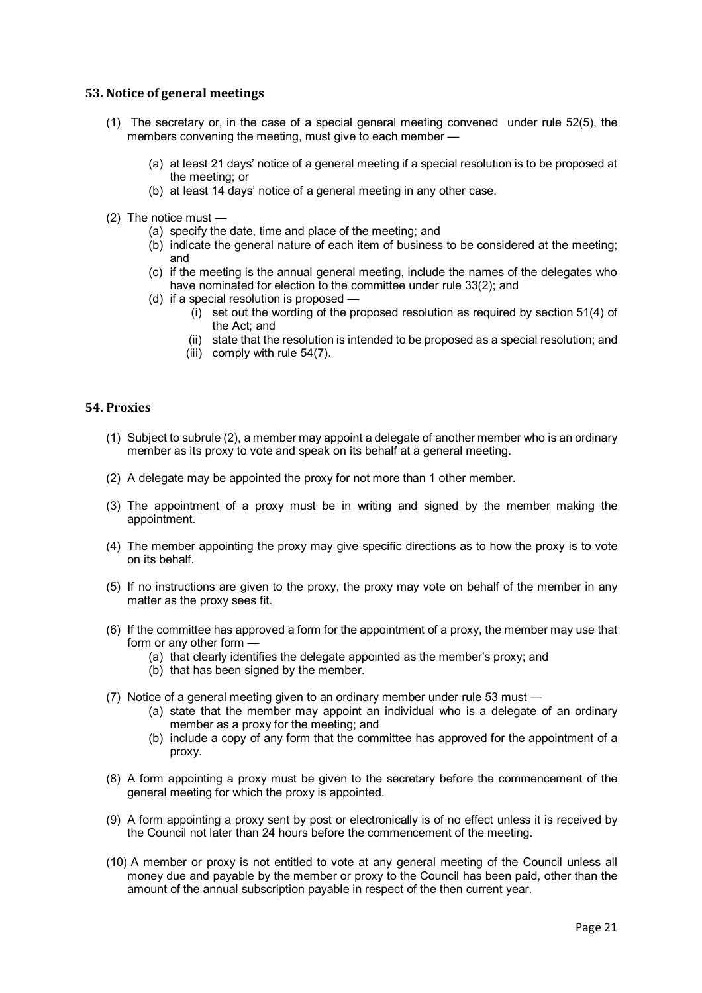#### **53. Notice of general meetings**

- (1) The secretary or, in the case of a special general meeting convened under rule 52(5), the members convening the meeting, must give to each member —
	- (a) at least 21 days' notice of a general meeting if a special resolution is to be proposed at the meeting; or
	- (b) at least 14 days' notice of a general meeting in any other case.
- (2) The notice must
	- (a) specify the date, time and place of the meeting; and
	- (b) indicate the general nature of each item of business to be considered at the meeting; and
	- (c) if the meeting is the annual general meeting, include the names of the delegates who have nominated for election to the committee under rule 33(2); and
	- (d) if a special resolution is proposed
		- (i) set out the wording of the proposed resolution as required by section 51(4) of the Act; and
		- (ii) state that the resolution is intended to be proposed as a special resolution; and
		- (iii) comply with rule 54(7).

#### **54. Proxies**

- (1) Subject to subrule (2), a member may appoint a delegate of another member who is an ordinary member as its proxy to vote and speak on its behalf at a general meeting.
- (2) A delegate may be appointed the proxy for not more than 1 other member.
- (3) The appointment of a proxy must be in writing and signed by the member making the appointment.
- (4) The member appointing the proxy may give specific directions as to how the proxy is to vote on its behalf.
- (5) If no instructions are given to the proxy, the proxy may vote on behalf of the member in any matter as the proxy sees fit.
- (6) If the committee has approved a form for the appointment of a proxy, the member may use that form or any other form -
	- (a) that clearly identifies the delegate appointed as the member's proxy; and
	- (b) that has been signed by the member.
- (7) Notice of a general meeting given to an ordinary member under rule 53 must
	- (a) state that the member may appoint an individual who is a delegate of an ordinary member as a proxy for the meeting; and
	- (b) include a copy of any form that the committee has approved for the appointment of a proxy.
- (8) A form appointing a proxy must be given to the secretary before the commencement of the general meeting for which the proxy is appointed.
- (9) A form appointing a proxy sent by post or electronically is of no effect unless it is received by the Council not later than 24 hours before the commencement of the meeting.
- (10) A member or proxy is not entitled to vote at any general meeting of the Council unless all money due and payable by the member or proxy to the Council has been paid, other than the amount of the annual subscription payable in respect of the then current year.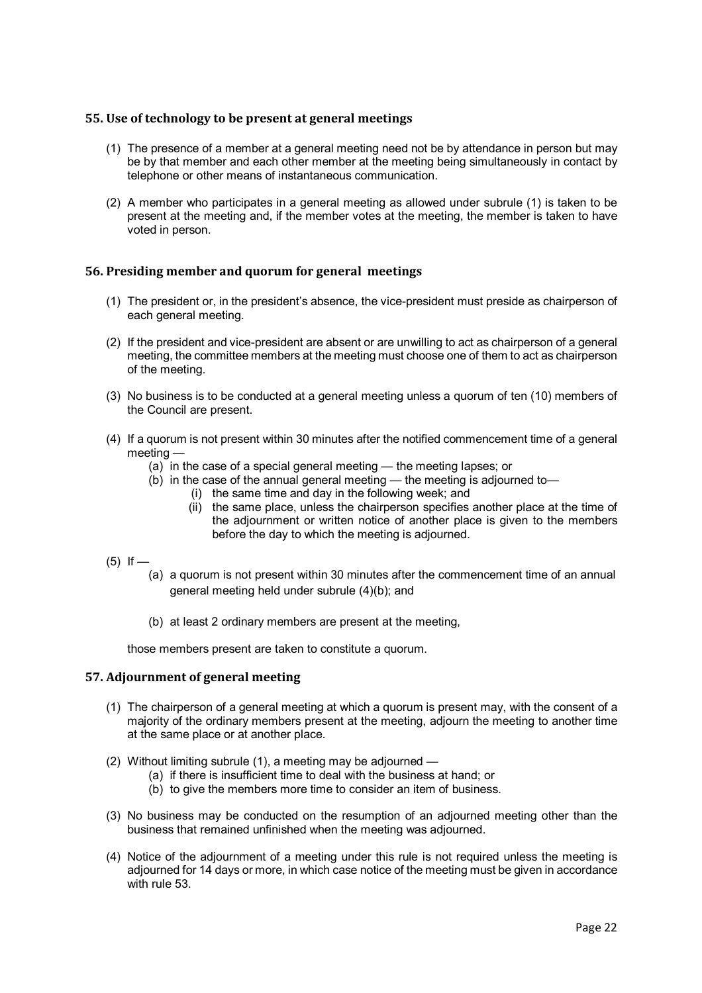## **55. Use of technology to be present at general meetings**

- (1) The presence of a member at a general meeting need not be by attendance in person but may be by that member and each other member at the meeting being simultaneously in contact by telephone or other means of instantaneous communication.
- (2) A member who participates in a general meeting as allowed under subrule (1) is taken to be present at the meeting and, if the member votes at the meeting, the member is taken to have voted in person.

## **56. Presiding member and quorum for general meetings**

- (1) The president or, in the president's absence, the vice-president must preside as chairperson of each general meeting.
- (2) If the president and vice-president are absent or are unwilling to act as chairperson of a general meeting, the committee members at the meeting must choose one of them to act as chairperson of the meeting.
- (3) No business is to be conducted at a general meeting unless a quorum of ten (10) members of the Council are present.
- (4) If a quorum is not present within 30 minutes after the notified commencement time of a general meeting —
	- (a) in the case of a special general meeting the meeting lapses; or
	- (b) in the case of the annual general meeting the meeting is adjourned to—
		- (i) the same time and day in the following week; and
		- (ii) the same place, unless the chairperson specifies another place at the time of the adjournment or written notice of another place is given to the members before the day to which the meeting is adjourned.
- $(5)$  If
	- (a) a quorum is not present within 30 minutes after the commencement time of an annual general meeting held under subrule (4)(b); and
		- (b) at least 2 ordinary members are present at the meeting,

those members present are taken to constitute a quorum.

## **57. Adjournment of general meeting**

- (1) The chairperson of a general meeting at which a quorum is present may, with the consent of a majority of the ordinary members present at the meeting, adjourn the meeting to another time at the same place or at another place.
- (2) Without limiting subrule (1), a meeting may be adjourned
	- (a) if there is insufficient time to deal with the business at hand; or
	- (b) to give the members more time to consider an item of business.
- (3) No business may be conducted on the resumption of an adjourned meeting other than the business that remained unfinished when the meeting was adjourned.
- (4) Notice of the adjournment of a meeting under this rule is not required unless the meeting is adjourned for 14 days or more, in which case notice of the meeting must be given in accordance with rule 53.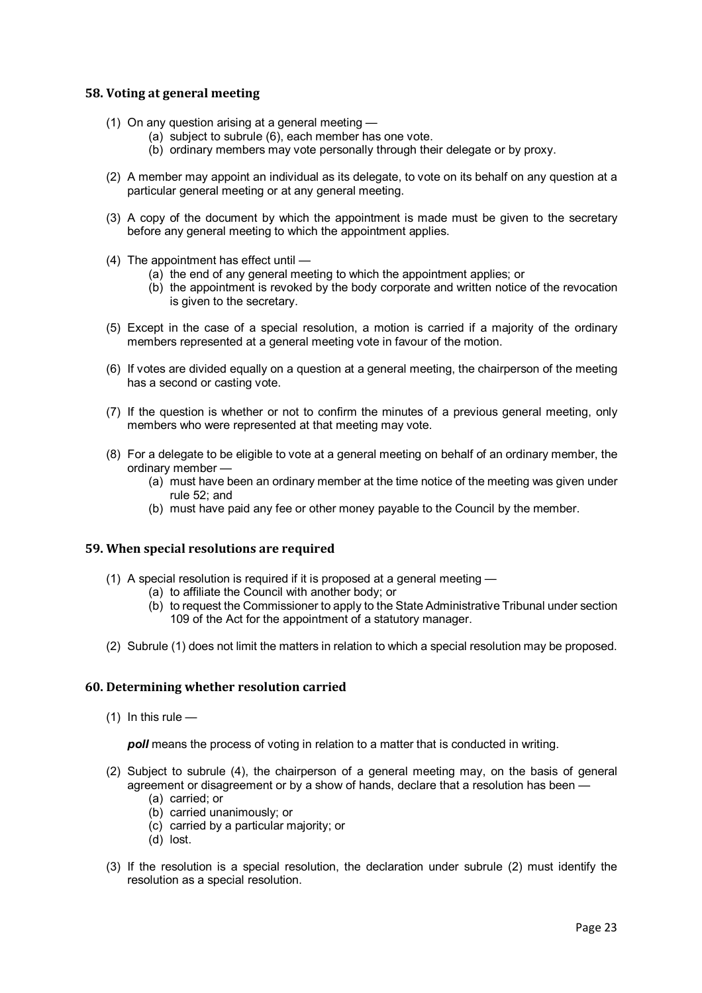## **58. Voting at general meeting**

- (1) On any question arising at a general meeting
	- (a) subject to subrule (6), each member has one vote.
	- (b) ordinary members may vote personally through their delegate or by proxy.
- (2) A member may appoint an individual as its delegate, to vote on its behalf on any question at a particular general meeting or at any general meeting.
- (3) A copy of the document by which the appointment is made must be given to the secretary before any general meeting to which the appointment applies.
- (4) The appointment has effect until
	- (a) the end of any general meeting to which the appointment applies; or
	- (b) the appointment is revoked by the body corporate and written notice of the revocation is given to the secretary.
- (5) Except in the case of a special resolution, a motion is carried if a majority of the ordinary members represented at a general meeting vote in favour of the motion.
- (6) If votes are divided equally on a question at a general meeting, the chairperson of the meeting has a second or casting vote.
- (7) If the question is whether or not to confirm the minutes of a previous general meeting, only members who were represented at that meeting may vote.
- (8) For a delegate to be eligible to vote at a general meeting on behalf of an ordinary member, the ordinary member —
	- (a) must have been an ordinary member at the time notice of the meeting was given under rule 52; and
	- (b) must have paid any fee or other money payable to the Council by the member.

## **59. When special resolutions are required**

- (1) A special resolution is required if it is proposed at a general meeting
	- (a) to affiliate the Council with another body; or
		- (b) to request the Commissioner to apply to the State Administrative Tribunal under section 109 of the Act for the appointment of a statutory manager.
- (2) Subrule (1) does not limit the matters in relation to which a special resolution may be proposed.

## **60. Determining whether resolution carried**

 $(1)$  In this rule —

*poll* means the process of voting in relation to a matter that is conducted in writing.

- (2) Subject to subrule (4), the chairperson of a general meeting may, on the basis of general agreement or disagreement or by a show of hands, declare that a resolution has been —
	- (a) carried; or
	- (b) carried unanimously; or
	- (c) carried by a particular majority; or
	- (d) lost.
- (3) If the resolution is a special resolution, the declaration under subrule (2) must identify the resolution as a special resolution.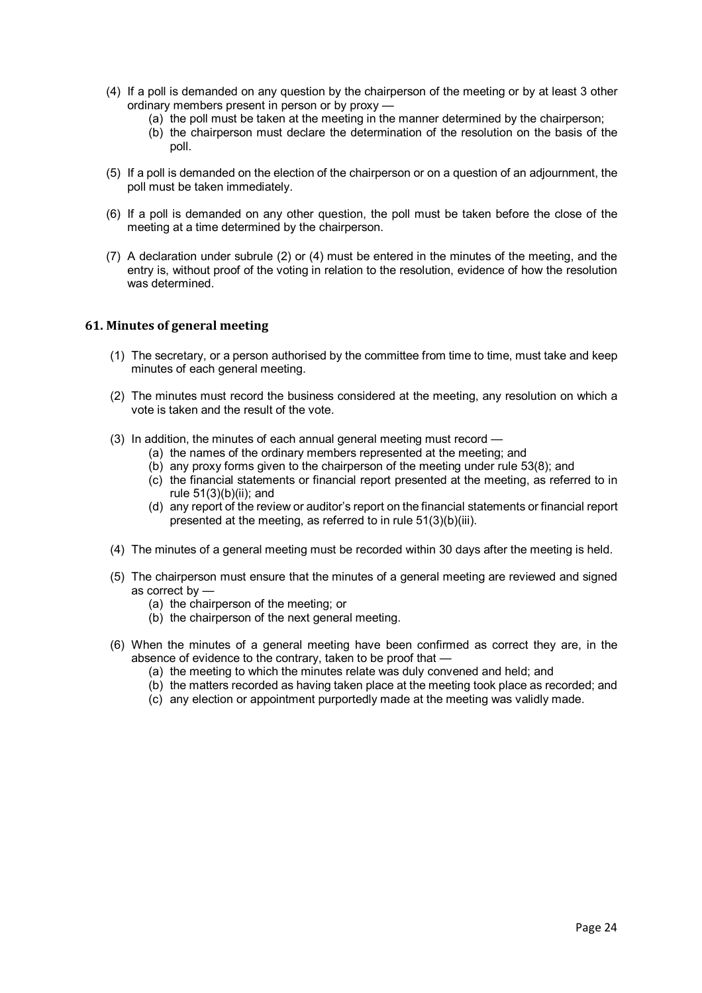- (4) If a poll is demanded on any question by the chairperson of the meeting or by at least 3 other ordinary members present in person or by proxy —
	- (a) the poll must be taken at the meeting in the manner determined by the chairperson;
	- (b) the chairperson must declare the determination of the resolution on the basis of the poll.
- (5) If a poll is demanded on the election of the chairperson or on a question of an adjournment, the poll must be taken immediately.
- (6) If a poll is demanded on any other question, the poll must be taken before the close of the meeting at a time determined by the chairperson.
- (7) A declaration under subrule (2) or (4) must be entered in the minutes of the meeting, and the entry is, without proof of the voting in relation to the resolution, evidence of how the resolution was determined.

#### **61. Minutes of general meeting**

- (1) The secretary, or a person authorised by the committee from time to time, must take and keep minutes of each general meeting.
- (2) The minutes must record the business considered at the meeting, any resolution on which a vote is taken and the result of the vote.
- (3) In addition, the minutes of each annual general meeting must record
	- (a) the names of the ordinary members represented at the meeting; and
	- (b) any proxy forms given to the chairperson of the meeting under rule 53(8); and
	- (c) the financial statements or financial report presented at the meeting, as referred to in rule 51(3)(b)(ii); and
	- (d) any report of the review or auditor's report on the financial statements or financial report presented at the meeting, as referred to in rule 51(3)(b)(iii).
- (4) The minutes of a general meeting must be recorded within 30 days after the meeting is held.
- (5) The chairperson must ensure that the minutes of a general meeting are reviewed and signed as correct by —
	- (a) the chairperson of the meeting; or
	- (b) the chairperson of the next general meeting.
- (6) When the minutes of a general meeting have been confirmed as correct they are, in the absence of evidence to the contrary, taken to be proof that -
	- (a) the meeting to which the minutes relate was duly convened and held; and
	- (b) the matters recorded as having taken place at the meeting took place as recorded; and
	- (c) any election or appointment purportedly made at the meeting was validly made.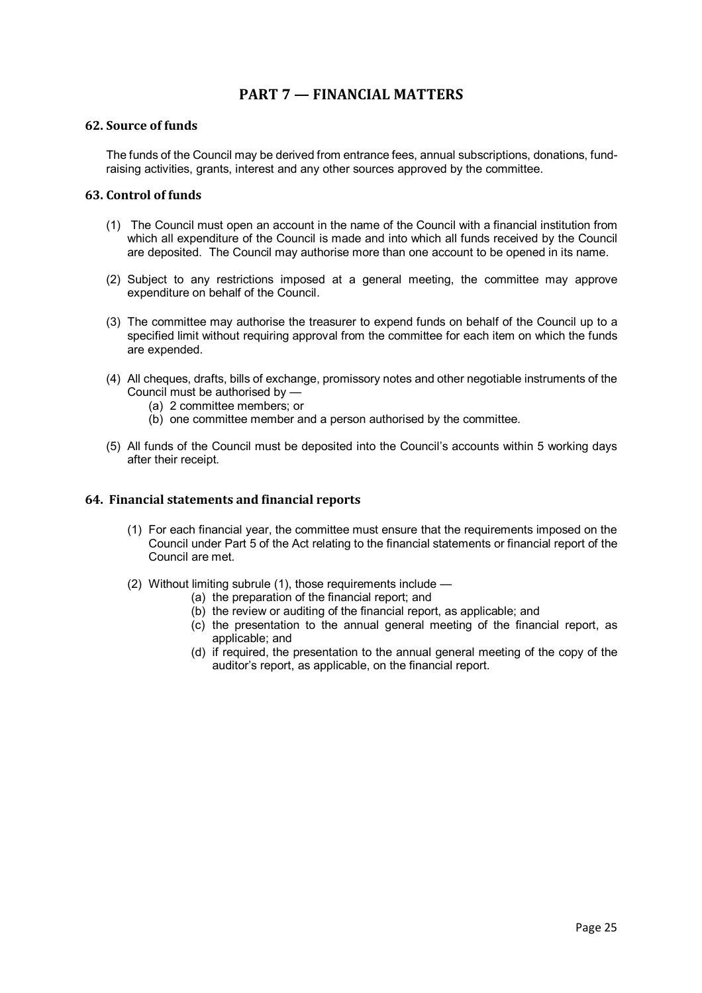# **PART 7 — FINANCIAL MATTERS**

#### **62. Source of funds**

The funds of the Council may be derived from entrance fees, annual subscriptions, donations, fundraising activities, grants, interest and any other sources approved by the committee.

#### **63. Control of funds**

- (1) The Council must open an account in the name of the Council with a financial institution from which all expenditure of the Council is made and into which all funds received by the Council are deposited. The Council may authorise more than one account to be opened in its name.
- (2) Subject to any restrictions imposed at a general meeting, the committee may approve expenditure on behalf of the Council.
- (3) The committee may authorise the treasurer to expend funds on behalf of the Council up to a specified limit without requiring approval from the committee for each item on which the funds are expended.
- (4) All cheques, drafts, bills of exchange, promissory notes and other negotiable instruments of the Council must be authorised by —
	- (a) 2 committee members; or
	- (b) one committee member and a person authorised by the committee.
- (5) All funds of the Council must be deposited into the Council's accounts within 5 working days after their receipt.

#### **64. Financial statements and financial reports**

- (1) For each financial year, the committee must ensure that the requirements imposed on the Council under Part 5 of the Act relating to the financial statements or financial report of the Council are met.
- (2) Without limiting subrule (1), those requirements include
	- (a) the preparation of the financial report; and
	- (b) the review or auditing of the financial report, as applicable; and
	- (c) the presentation to the annual general meeting of the financial report, as applicable; and
	- (d) if required, the presentation to the annual general meeting of the copy of the auditor's report, as applicable, on the financial report.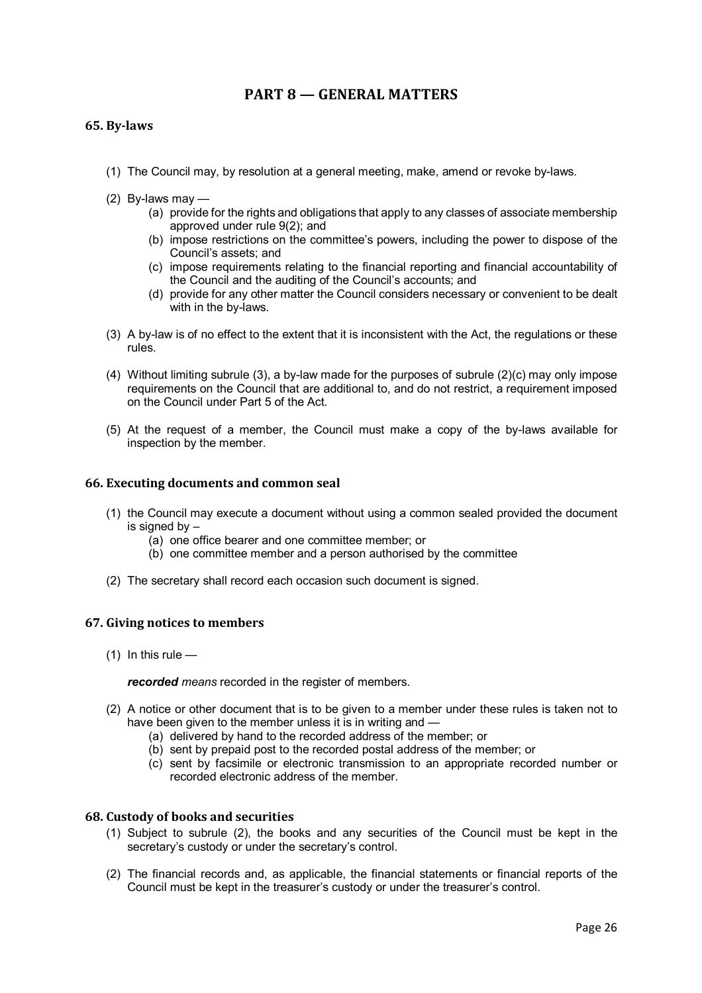# **PART 8 — GENERAL MATTERS**

## **65. By-laws**

- (1) The Council may, by resolution at a general meeting, make, amend or revoke by-laws.
- (2) By-laws may
	- (a) provide for the rights and obligations that apply to any classes of associate membership approved under rule 9(2); and
	- (b) impose restrictions on the committee's powers, including the power to dispose of the Council's assets; and
	- (c) impose requirements relating to the financial reporting and financial accountability of the Council and the auditing of the Council's accounts; and
	- (d) provide for any other matter the Council considers necessary or convenient to be dealt with in the by-laws.
- (3) A by-law is of no effect to the extent that it is inconsistent with the Act, the regulations or these rules.
- (4) Without limiting subrule (3), a by-law made for the purposes of subrule (2)(c) may only impose requirements on the Council that are additional to, and do not restrict, a requirement imposed on the Council under Part 5 of the Act.
- (5) At the request of a member, the Council must make a copy of the by-laws available for inspection by the member.

#### **66. Executing documents and common seal**

- (1) the Council may execute a document without using a common sealed provided the document is signed by –
	- (a) one office bearer and one committee member; or
	- (b) one committee member and a person authorised by the committee
- (2) The secretary shall record each occasion such document is signed.

#### **67. Giving notices to members**

 $(1)$  In this rule —

#### *recorded means* recorded in the register of members.

- (2) A notice or other document that is to be given to a member under these rules is taken not to have been given to the member unless it is in writing and —
	- (a) delivered by hand to the recorded address of the member; or
	- (b) sent by prepaid post to the recorded postal address of the member; or
	- (c) sent by facsimile or electronic transmission to an appropriate recorded number or recorded electronic address of the member.

#### **68. Custody of books and securities**

- (1) Subject to subrule (2), the books and any securities of the Council must be kept in the secretary's custody or under the secretary's control.
- (2) The financial records and, as applicable, the financial statements or financial reports of the Council must be kept in the treasurer's custody or under the treasurer's control.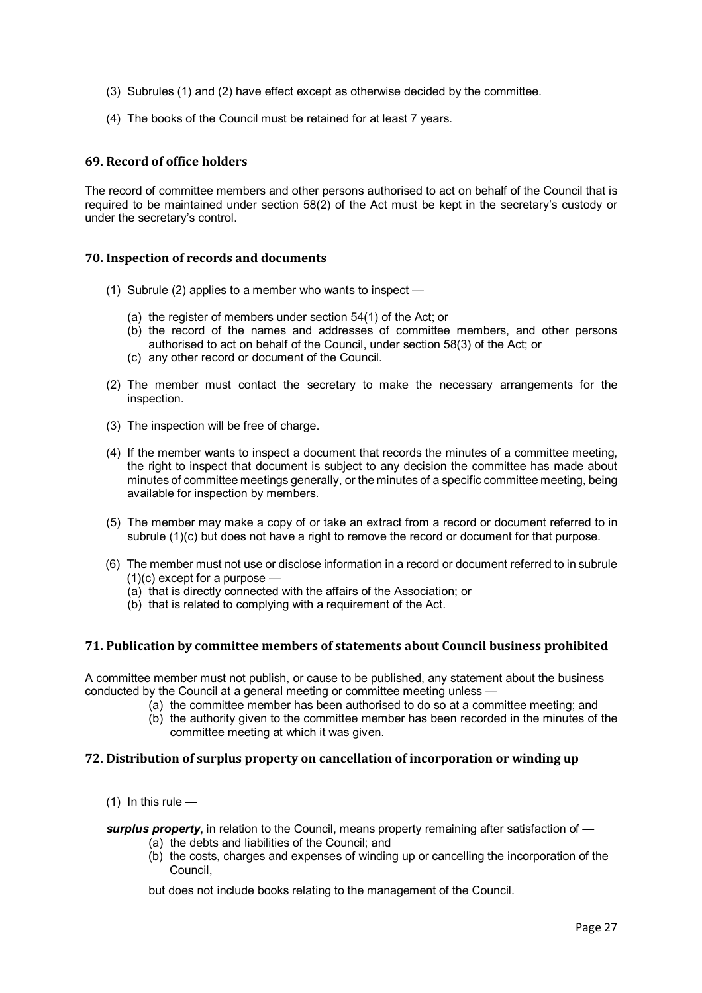- (3) Subrules (1) and (2) have effect except as otherwise decided by the committee.
- (4) The books of the Council must be retained for at least 7 years.

## **69. Record of office holders**

The record of committee members and other persons authorised to act on behalf of the Council that is required to be maintained under section 58(2) of the Act must be kept in the secretary's custody or under the secretary's control.

## **70. Inspection of records and documents**

- (1) Subrule (2) applies to a member who wants to inspect
	- (a) the register of members under section 54(1) of the Act; or
	- (b) the record of the names and addresses of committee members, and other persons authorised to act on behalf of the Council, under section 58(3) of the Act; or
	- (c) any other record or document of the Council.
- (2) The member must contact the secretary to make the necessary arrangements for the inspection.
- (3) The inspection will be free of charge.
- (4) If the member wants to inspect a document that records the minutes of a committee meeting, the right to inspect that document is subject to any decision the committee has made about minutes of committee meetings generally, or the minutes of a specific committee meeting, being available for inspection by members.
- (5) The member may make a copy of or take an extract from a record or document referred to in subrule (1)(c) but does not have a right to remove the record or document for that purpose.
- (6) The member must not use or disclose information in a record or document referred to in subrule (1)(c) except for a purpose —
	- (a) that is directly connected with the affairs of the Association; or
	- (b) that is related to complying with a requirement of the Act.

## **71. Publication by committee members of statements about Council business prohibited**

A committee member must not publish, or cause to be published, any statement about the business conducted by the Council at a general meeting or committee meeting unless —

- (a) the committee member has been authorised to do so at a committee meeting; and
- (b) the authority given to the committee member has been recorded in the minutes of the committee meeting at which it was given.

## **72. Distribution of surplus property on cancellation of incorporation or winding up**

(1) In this rule  $-$ 

*surplus property*, in relation to the Council, means property remaining after satisfaction of —

- (a) the debts and liabilities of the Council; and
- (b) the costs, charges and expenses of winding up or cancelling the incorporation of the Council,

but does not include books relating to the management of the Council.